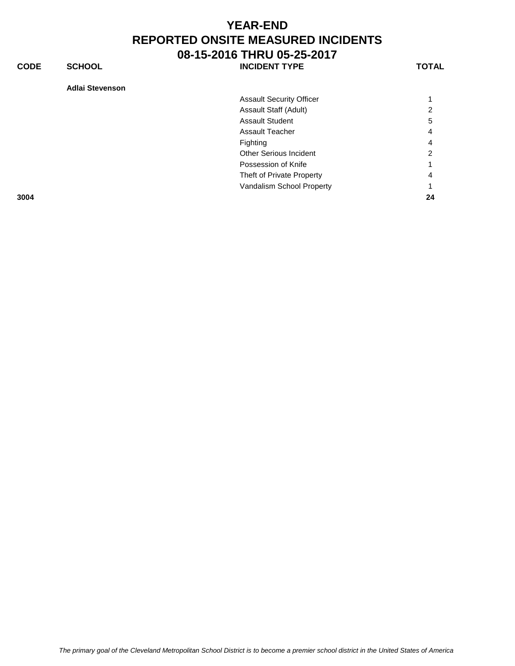**CODE SCHOOL SCHOOL** INCIDENT TYPE TOTAL

| Adlai Stevenson |  |
|-----------------|--|
|-----------------|--|

| 3004 | Vandalism School Property       | 24 |
|------|---------------------------------|----|
|      | Theft of Private Property       | 4  |
|      | Possession of Knife             |    |
|      | <b>Other Serious Incident</b>   | 2  |
|      | Fighting                        | 4  |
|      | <b>Assault Teacher</b>          | 4  |
|      | <b>Assault Student</b>          | 5  |
|      | Assault Staff (Adult)           | 2  |
|      | <b>Assault Security Officer</b> |    |
|      |                                 |    |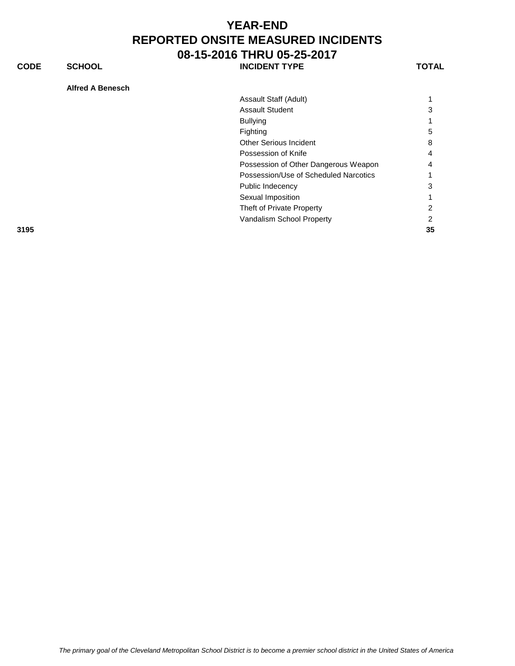**CODE SCHOOL SCHOOL INCIDENT TYPE TOTAL** 

**Alfred A Benesch**

| Assault Staff (Adult)                 |    |
|---------------------------------------|----|
| <b>Assault Student</b>                | 3  |
| <b>Bullying</b>                       |    |
| Fighting                              | 5  |
| <b>Other Serious Incident</b>         | 8  |
| Possession of Knife                   | 4  |
| Possession of Other Dangerous Weapon  | 4  |
| Possession/Use of Scheduled Narcotics |    |
| Public Indecency                      | 3  |
| Sexual Imposition                     |    |
| Theft of Private Property             | 2  |
| Vandalism School Property             | 2  |
|                                       | 35 |
|                                       |    |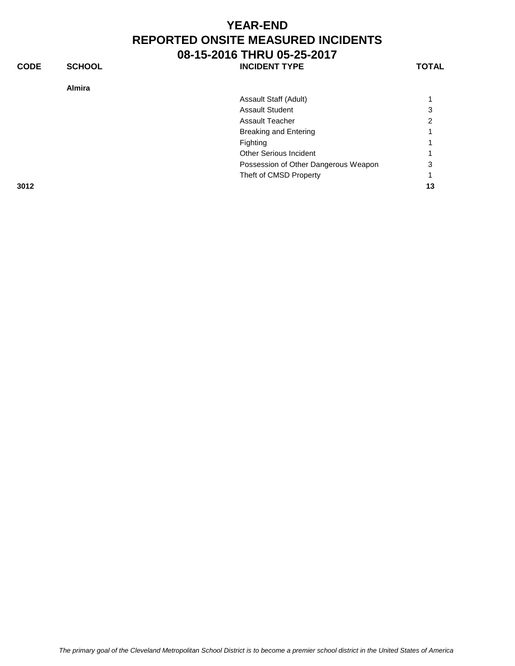Assault Staff (Adult) 1

**CODE SCHOOL SCHOOL INCIDENT TYPE TOTAL** 

**Almira**

| 1      |  |  |
|--------|--|--|
|        |  |  |
| o<br>٠ |  |  |

|      | <b>Assault Student</b>               | 3  |
|------|--------------------------------------|----|
|      | <b>Assault Teacher</b>               | 2  |
|      | Breaking and Entering                | 1  |
|      | Fighting                             | 1  |
|      | <b>Other Serious Incident</b>        | 1  |
|      | Possession of Other Dangerous Weapon | 3  |
|      | Theft of CMSD Property               |    |
| 3012 |                                      | 13 |
|      |                                      |    |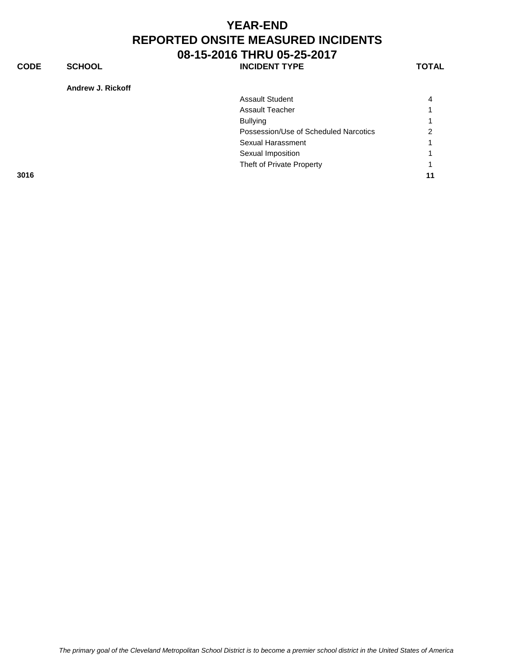**CODE SCHOOL SCHOOL INCIDENT TYPE TOTAL** 

**Andrew J. Rickoff**

| <b>Assault Student</b>                | 4             |
|---------------------------------------|---------------|
| <b>Assault Teacher</b>                |               |
| <b>Bullying</b>                       | 1             |
| Possession/Use of Scheduled Narcotics | $\mathcal{P}$ |
| Sexual Harassment                     | 1             |
| Sexual Imposition                     |               |
| Theft of Private Property             | 1             |
| 3016                                  | 11            |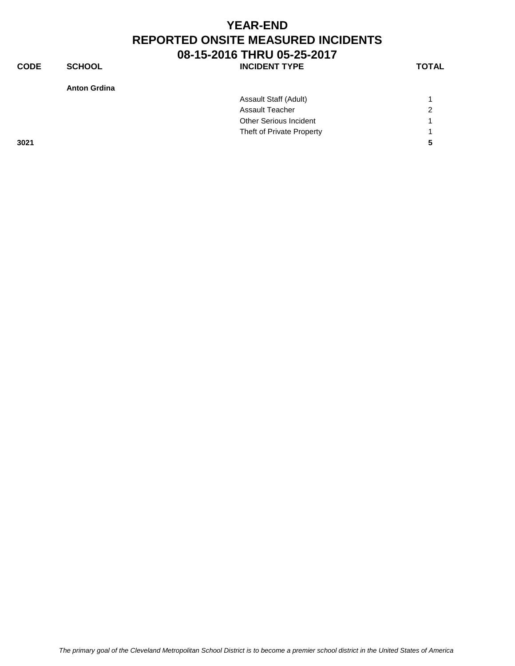**CODE SCHOOL SCHOOL** INCIDENT TYPE TOTAL

|      | Assault Staff (Adult)     |                |
|------|---------------------------|----------------|
|      | <b>Assault Teacher</b>    | $\overline{2}$ |
|      | Other Serious Incident    |                |
|      | Theft of Private Property |                |
| 3021 |                           | 5              |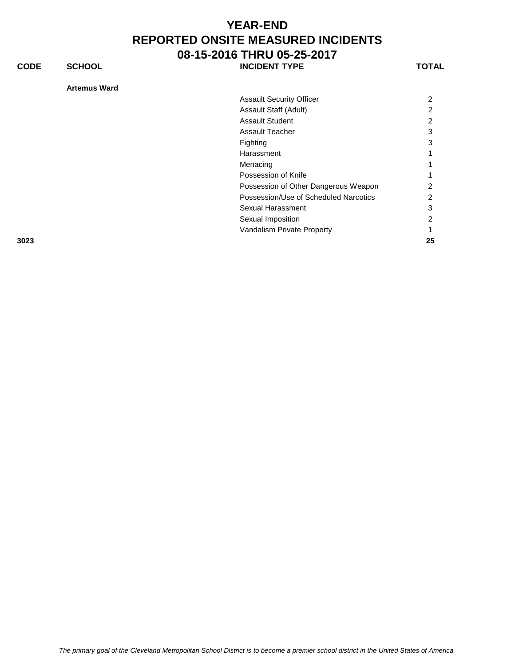**CODE SCHOOL SCHOOL INCIDENT TYPE TOTAL** 

#### **Artemus Ward**

|      | <b>Assault Security Officer</b>       | 2  |
|------|---------------------------------------|----|
|      | Assault Staff (Adult)                 | 2  |
|      | <b>Assault Student</b>                | 2  |
|      | <b>Assault Teacher</b>                | 3  |
|      | Fighting                              | 3  |
|      | Harassment                            |    |
|      | Menacing                              |    |
|      | Possession of Knife                   |    |
|      | Possession of Other Dangerous Weapon  | 2  |
|      | Possession/Use of Scheduled Narcotics | 2  |
|      | Sexual Harassment                     | 3  |
|      | Sexual Imposition                     | 2  |
|      | Vandalism Private Property            |    |
| 3023 |                                       | 25 |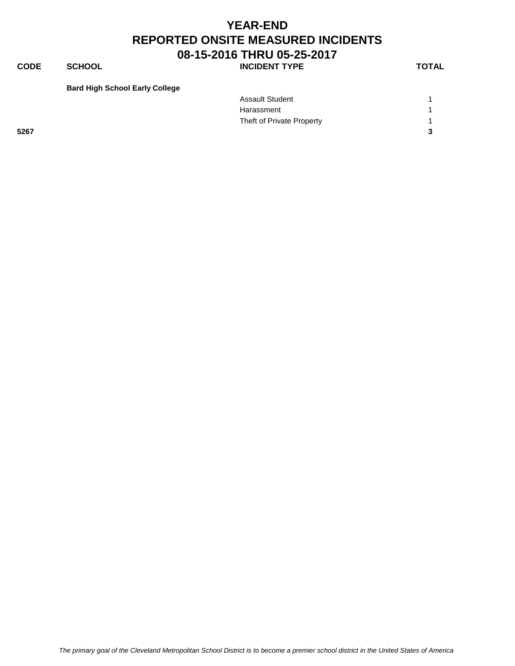**CODE SCHOOL SCHOOL INCIDENT TYPE TOTAL** 

**Bard High School Early College**

|      | <b>Assault Student</b>    |   |
|------|---------------------------|---|
|      | Harassment                |   |
|      | Theft of Private Property |   |
| 5267 |                           | 3 |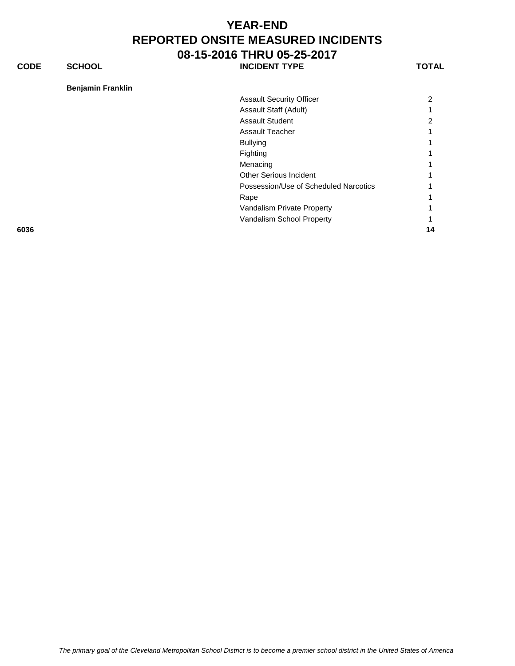**CODE SCHOOL SCHOOL INCIDENT TYPE TOTAL** 

**Benjamin Franklin**

| <b>Assault Security Officer</b>       |   |
|---------------------------------------|---|
| Assault Staff (Adult)                 |   |
| <b>Assault Student</b>                | 2 |
| Assault Teacher                       |   |
| <b>Bullying</b>                       |   |
| Fighting                              |   |
| Menacing                              |   |
| <b>Other Serious Incident</b>         |   |
| Possession/Use of Scheduled Narcotics |   |
| Rape                                  |   |
| Vandalism Private Property            |   |
| Vandalism School Property             |   |
|                                       |   |

**6036 14**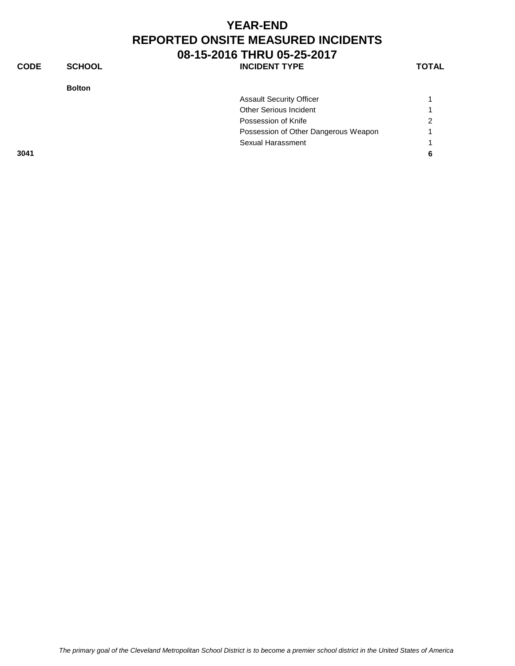| <b>CODE</b> | <b>SCHOOL</b> | <b>INCIDENT TYPE</b>                 | <b>TOTAL</b> |
|-------------|---------------|--------------------------------------|--------------|
|             | <b>Bolton</b> |                                      |              |
|             |               | <b>Assault Security Officer</b>      |              |
|             |               | Other Serious Incident               |              |
|             |               | Possession of Knife                  | 2            |
|             |               | Possession of Other Dangerous Weapon |              |
|             |               | Sexual Harassment                    |              |
| 3041        |               |                                      | 6            |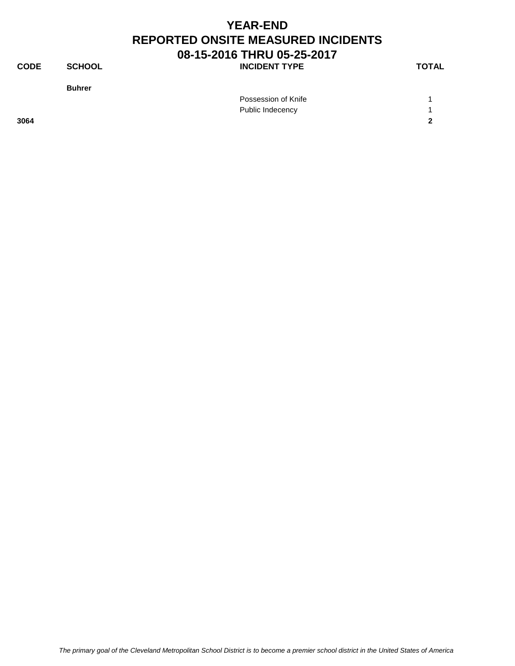**CODE SCHOOL SCHOOL** INCIDENT TYPE TOTAL

**Buhrer**

|      | Possession of Knife |              |
|------|---------------------|--------------|
|      | Public Indecency    |              |
| 3064 |                     | $\mathbf{r}$ |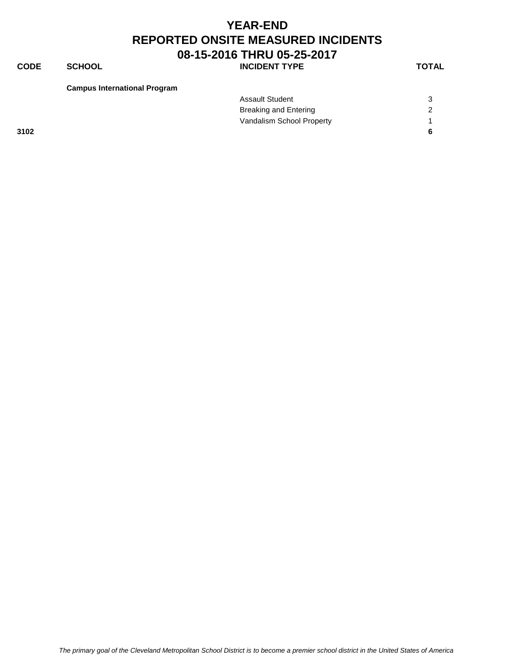**CODE SCHOOL SCHOOL INCIDENT TYPE TOTAL** 

**Campus International Program**

|      | <b>Assault Student</b>       |   |
|------|------------------------------|---|
|      | <b>Breaking and Entering</b> |   |
|      | Vandalism School Property    |   |
| 3102 |                              | 6 |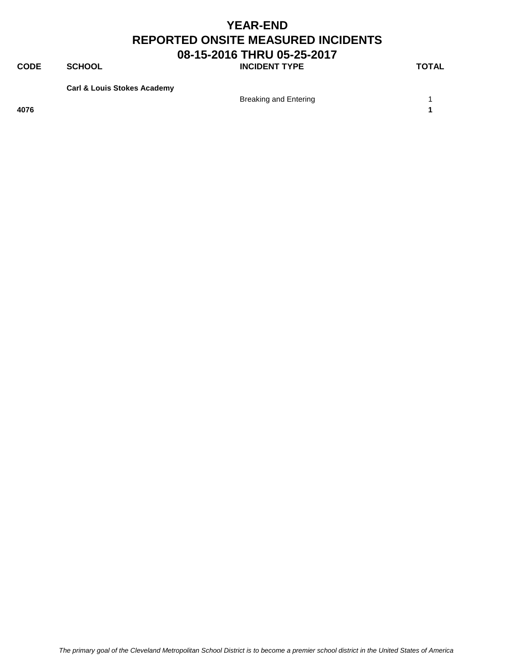**CODE SCHOOL SCHOOL INCIDENT TYPE TOTAL** 

**Carl & Louis Stokes Academy**

Breaking and Entering 1

**4076 1**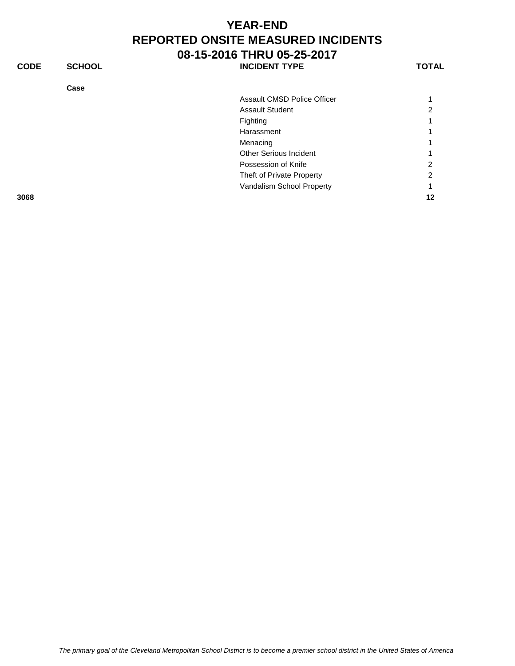| <b>CODE</b> | <b>SCHOOL</b> | <b>INCIDENT TYPE</b>          | <b>TOTAL</b> |
|-------------|---------------|-------------------------------|--------------|
|             | Case          |                               |              |
|             |               | Assault CMSD Police Officer   |              |
|             |               | <b>Assault Student</b>        | 2            |
|             |               | Fighting                      |              |
|             |               | Harassment                    |              |
|             |               | Menacing                      |              |
|             |               | <b>Other Serious Incident</b> |              |
|             |               | Possession of Knife           | 2            |
|             |               | Theft of Private Property     | 2            |
|             |               | Vandalism School Property     |              |
| 3068        |               |                               | 12           |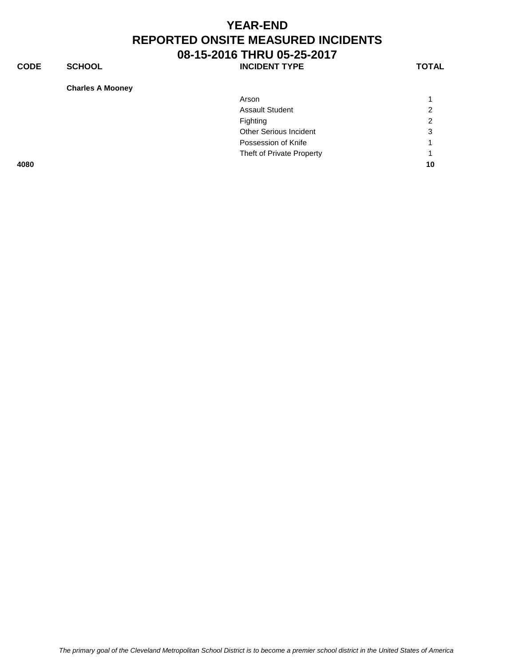**CODE SCHOOL SCHOOL INCIDENT TYPE TOTAL** 

**Charles A Mooney**

| ົ  |
|----|
| 3  |
|    |
|    |
| 10 |
|    |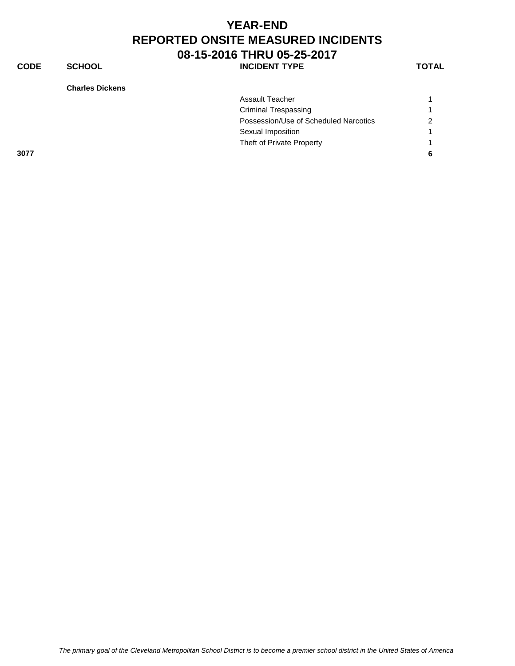**CODE SCHOOL SCHOOL INCIDENT TYPE TOTAL** 

**Charles Dickens**

| Assault Teacher             |                                                        |
|-----------------------------|--------------------------------------------------------|
|                             |                                                        |
| <b>Criminal Trespassing</b> |                                                        |
|                             | Possession/Use of Scheduled Narcotics<br>$\mathcal{P}$ |
| Sexual Imposition           |                                                        |
| Theft of Private Property   |                                                        |
| 3077                        | -6                                                     |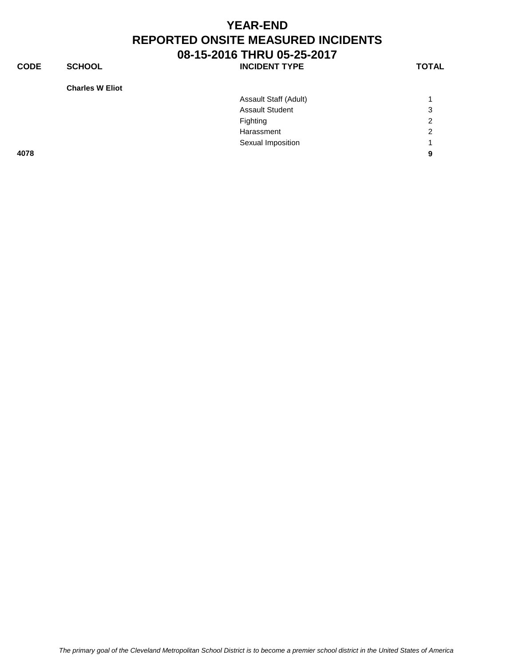**CODE SCHOOL SCHOOL INCIDENT TYPE TOTAL** 

**Charles W Eliot**

| <b>Charles W Eliot</b> |                        |                |
|------------------------|------------------------|----------------|
|                        | Assault Staff (Adult)  | $\overline{1}$ |
|                        | <b>Assault Student</b> | 3              |
|                        | Fighting               | $\overline{2}$ |
|                        | Harassment             | $\overline{2}$ |
|                        | Sexual Imposition      | -1             |
| 4078                   |                        | 9              |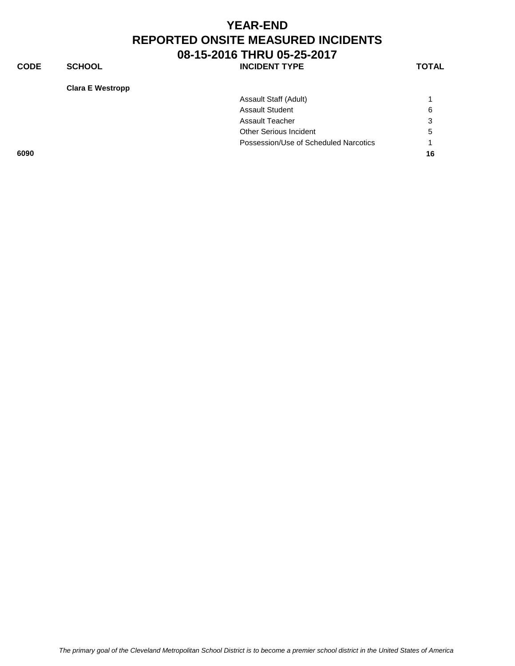**CODE SCHOOL SCHOOL INCIDENT TYPE TOTAL** 

**Clara E Westropp**

| Assault Staff (Adult)                 |    |
|---------------------------------------|----|
| <b>Assault Student</b>                | 6  |
| <b>Assault Teacher</b>                | 3  |
| Other Serious Incident                | 5  |
| Possession/Use of Scheduled Narcotics |    |
|                                       | 16 |
|                                       |    |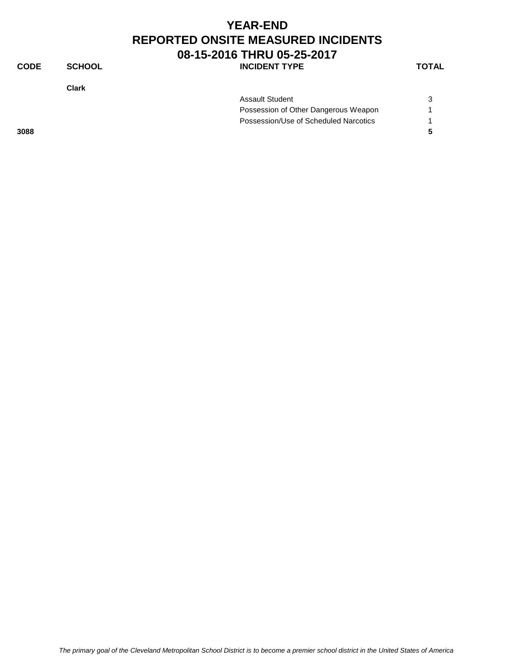#### **YEAR-END REPORTED ONSITE MEASURED INCIDENTS 08-15-2016 THRU 05-25-2017 CODE SCHOOL SCHOOL INCIDENT TYPE TOTAL**

**Clark**

|      | <b>Assault Student</b>                |  |
|------|---------------------------------------|--|
|      | Possession of Other Dangerous Weapon  |  |
|      | Possession/Use of Scheduled Narcotics |  |
| 3088 |                                       |  |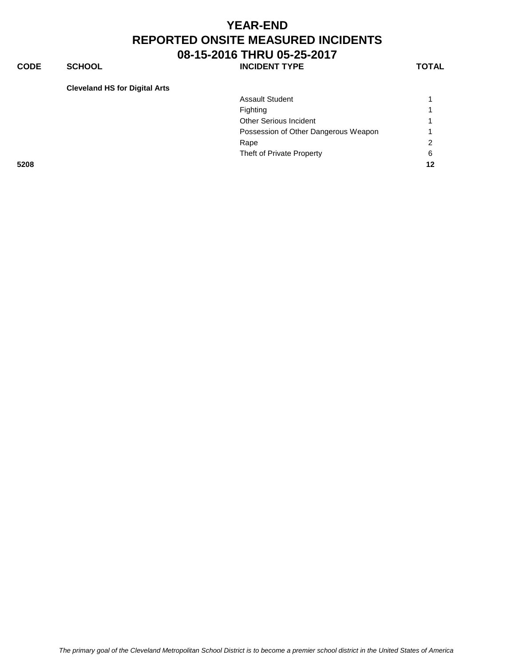**CODE SCHOOL SCHOOL INCIDENT TYPE TOTAL** 

#### **Cleveland HS for Digital Arts**

|      | <b>Assault Student</b>               |               |
|------|--------------------------------------|---------------|
|      | Fighting                             |               |
|      | Other Serious Incident               |               |
|      | Possession of Other Dangerous Weapon |               |
|      | Rape                                 | $\mathcal{P}$ |
|      | Theft of Private Property            | 6             |
| 5208 |                                      | 12            |
|      |                                      |               |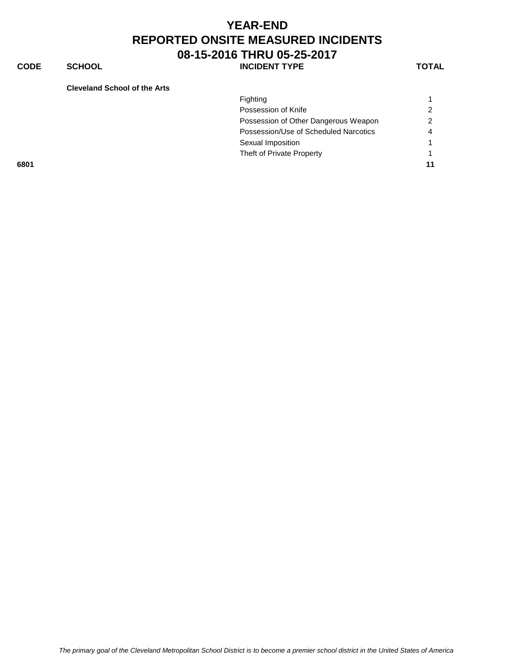**CODE SCHOOL SCHOOL** INCIDENT TYPE TOTAL

**Cleveland School of the Arts**

|      | Fighting                              |                |
|------|---------------------------------------|----------------|
|      |                                       |                |
|      | Possession of Knife                   | 2              |
|      | Possession of Other Dangerous Weapon  | $\mathcal{P}$  |
|      | Possession/Use of Scheduled Narcotics | $\overline{4}$ |
|      | Sexual Imposition                     |                |
|      | Theft of Private Property             |                |
| 6801 |                                       | 11             |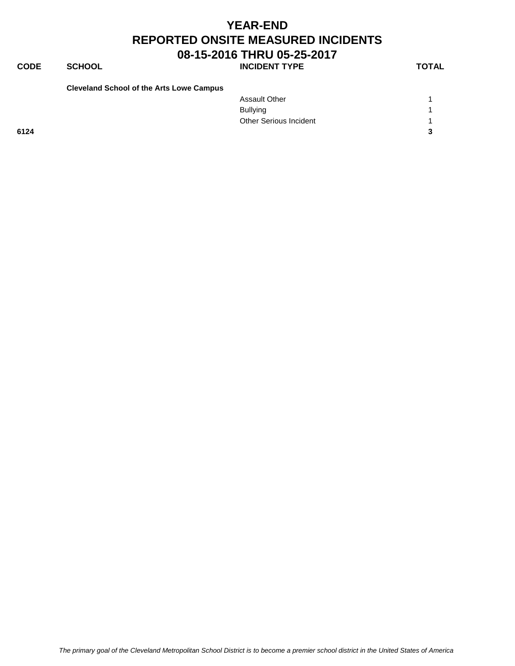**CODE SCHOOL SCHOOL INCIDENT TYPE TOTAL** 

| <b>Cleveland School of the Arts Lowe Campus</b> |  |  |
|-------------------------------------------------|--|--|
|-------------------------------------------------|--|--|

|      | <b>Assault Other</b>          |                |
|------|-------------------------------|----------------|
|      | <b>Bullying</b>               | $\overline{A}$ |
|      | <b>Other Serious Incident</b> |                |
| 6124 |                               | $\mathbf{r}$   |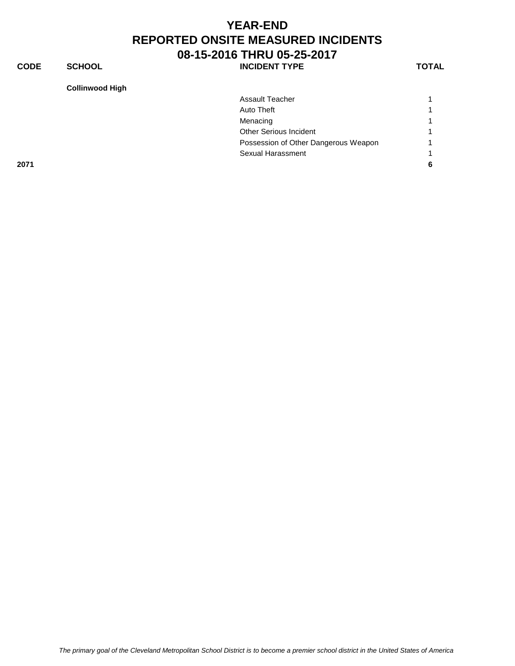**CODE SCHOOL SCHOOL INCIDENT TYPE TOTAL** 

**Collinwood High**

|      | COIIINWOOD HIGH |                                      |   |
|------|-----------------|--------------------------------------|---|
|      |                 | Assault Teacher                      | 1 |
|      |                 | Auto Theft                           | 1 |
|      |                 | Menacing                             | 1 |
|      |                 | Other Serious Incident               | 1 |
|      |                 | Possession of Other Dangerous Weapon | 1 |
|      |                 | Sexual Harassment                    | 1 |
| 2071 |                 |                                      | 6 |
|      |                 |                                      |   |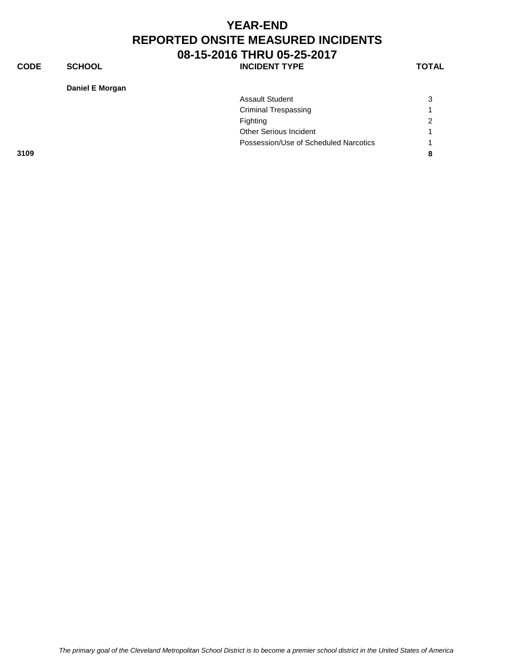**CODE SCHOOL SCHOOL INCIDENT TYPE TOTAL** 

**Daniel E Morgan**

|      | <b>Assault Student</b>        |                                       | 3             |
|------|-------------------------------|---------------------------------------|---------------|
|      | <b>Criminal Trespassing</b>   |                                       | 1             |
|      | Fighting                      |                                       | $\mathcal{P}$ |
|      | <b>Other Serious Incident</b> |                                       |               |
|      |                               | Possession/Use of Scheduled Narcotics | 1             |
| 3109 |                               |                                       | 8             |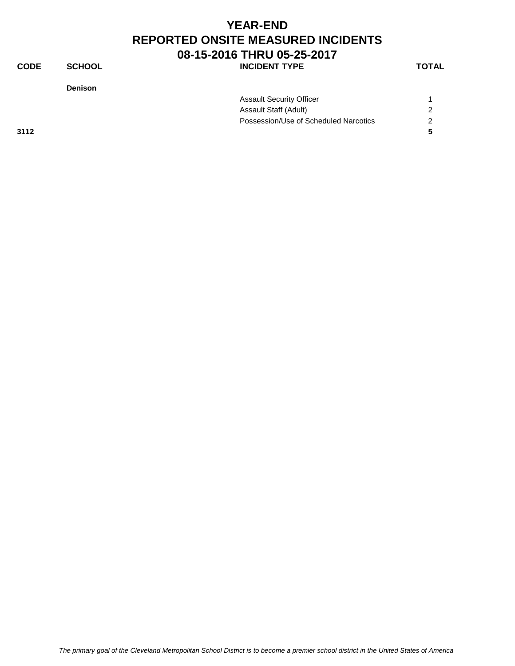#### **YEAR-END REPORTED ONSITE MEASURED INCIDENTS 08-15-2016 THRU 05-25-2017 CODE SCHOOL SCHOOL INCIDENT TYPE TOTAL**

**Denison**

| Assault Security Officer              |  |
|---------------------------------------|--|
| Assault Staff (Adult)                 |  |
| Possession/Use of Scheduled Narcotics |  |

**3112 5**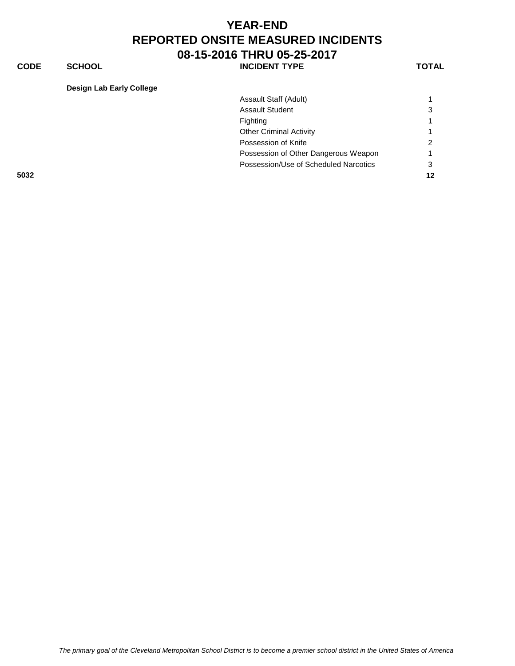**CODE SCHOOL SCHOOL INCIDENT TYPE TOTAL** 

#### **Design Lab Early College**

|      | Assault Staff (Adult)                 |               |
|------|---------------------------------------|---------------|
|      | <b>Assault Student</b>                | 3             |
|      | Fighting                              |               |
|      | <b>Other Criminal Activity</b>        |               |
|      | Possession of Knife                   | $\mathcal{P}$ |
|      | Possession of Other Dangerous Weapon  |               |
|      | Possession/Use of Scheduled Narcotics | 3             |
| 5032 |                                       | $12 \,$       |
|      |                                       |               |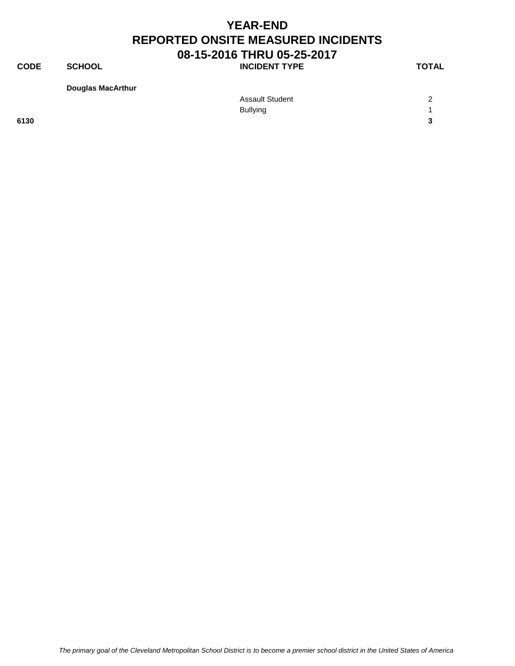**CODE SCHOOL SCHOOL INCIDENT TYPE TOTAL** 

**Douglas MacArthur**

|      | <b>Assault Student</b> | $\sqrt{2}$        |
|------|------------------------|-------------------|
|      | <b>Bullying</b>        |                   |
| 6130 |                        | $\mathbf{\Omega}$ |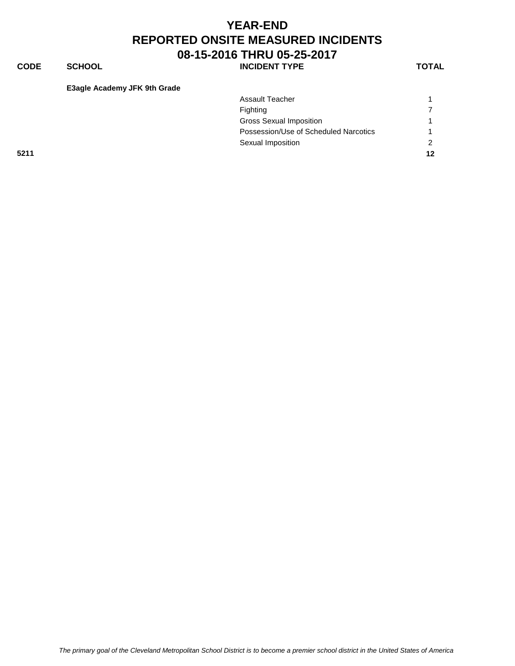**CODE SCHOOL SCHOOL INCIDENT TYPE TOTAL** 

**E3agle Academy JFK 9th Grade**

| <b>Assault Teacher</b>                |                |
|---------------------------------------|----------------|
| Fighting                              | $\overline{z}$ |
| <b>Gross Sexual Imposition</b>        |                |
| Possession/Use of Scheduled Narcotics |                |
| Sexual Imposition                     | $\mathcal{P}$  |
|                                       | 12             |
|                                       |                |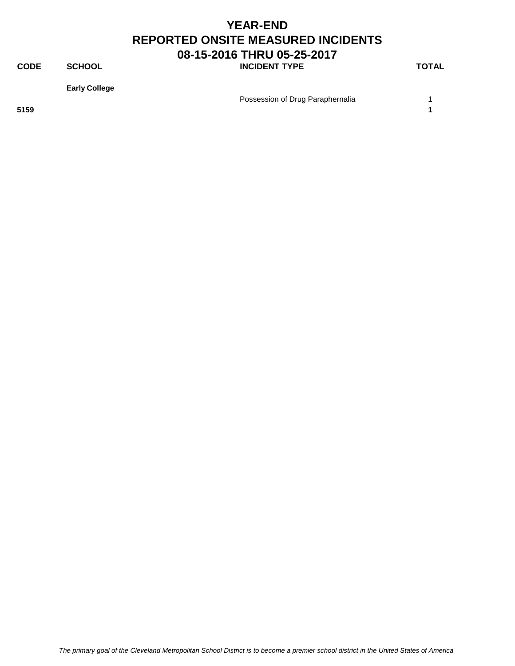**CODE SCHOOL SCHOOL INCIDENT TYPE TOTAL** 

**Early College**

Possession of Drug Paraphernalia 1

**5159 1**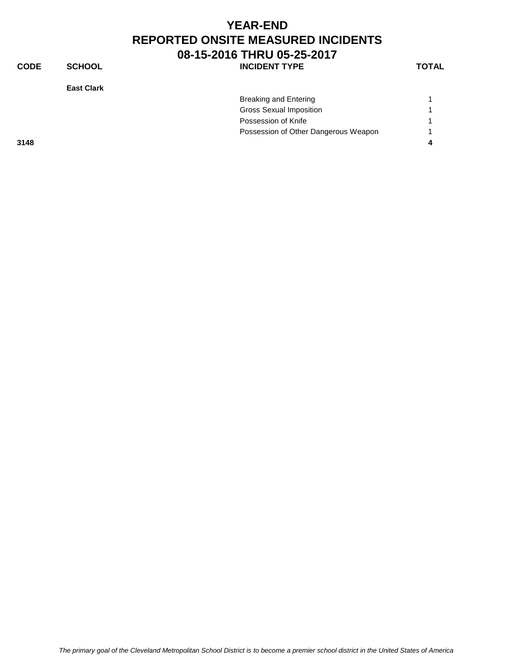| <b>YEAR-END</b>                           |
|-------------------------------------------|
| <b>REPORTED ONSITE MEASURED INCIDENTS</b> |
| 08-15-2016 THRU 05-25-2017                |

| <b>CODE</b> | <b>SCHOOL</b>     | <b>INCIDENT TYPE</b>                 | <b>TOTAL</b> |
|-------------|-------------------|--------------------------------------|--------------|
|             | <b>East Clark</b> |                                      |              |
|             |                   | <b>Breaking and Entering</b>         |              |
|             |                   | <b>Gross Sexual Imposition</b>       |              |
|             |                   | Possession of Knife                  |              |
|             |                   | Possession of Other Dangerous Weapon |              |
| 3148        |                   |                                      | 4            |
|             |                   |                                      |              |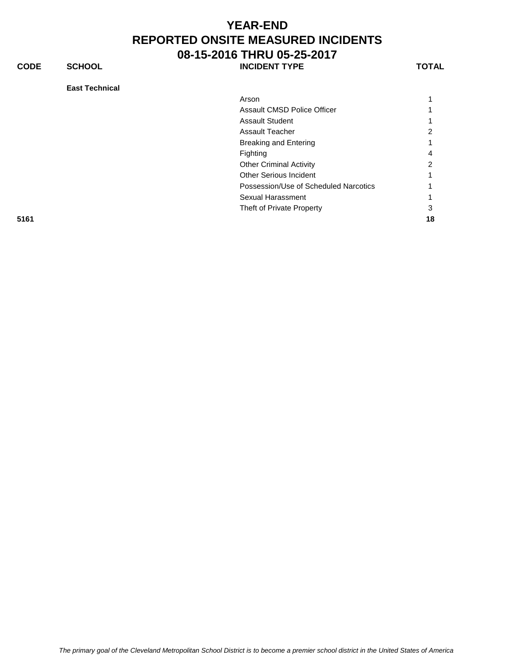**CODE SCHOOL INCIDENT TYPE TOTAL**

**East Technical** Arson and the contract of the contract of the contract of the contract of the contract of the contract of the contract of the contract of the contract of the contract of the contract of the contract of the contract of the Assault CMSD Police Officer 1 Assault Student 1 Assault Teacher 2008 Breaking and Entering 1 Fighting 4 Other Criminal Activity 2 Other Serious Incident 1 Possession/Use of Scheduled Narcotics 1 Sexual Harassment 1 Theft of Private Property 3 **5161 18**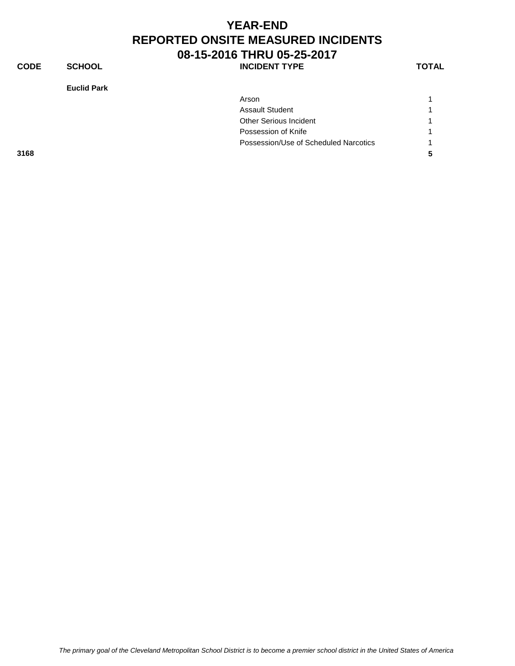**CODE SCHOOL SCHOOL INCIDENT TYPE TOTAL** 

**Euclid Park**

|      | Euclig Park                           |   |
|------|---------------------------------------|---|
|      | Arson                                 |   |
|      | <b>Assault Student</b>                |   |
|      | <b>Other Serious Incident</b>         |   |
|      | Possession of Knife                   |   |
|      | Possession/Use of Scheduled Narcotics |   |
| 3168 |                                       | 5 |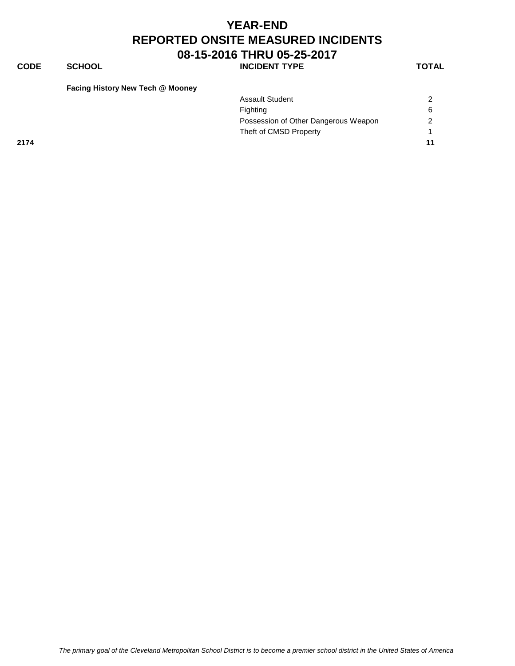#### **YEAR-END REPORTED ONSITE MEASURED INCIDENTS 08-15-2016 THRU 05-25-2017 CODE SCHOOL SCHOOL** INCIDENT TYPE TOTAL

| Facing History New Tech @ Mooney |  |  |  |
|----------------------------------|--|--|--|
|----------------------------------|--|--|--|

|      | <b>Assault Student</b>               | $\mathcal{D}$ |
|------|--------------------------------------|---------------|
|      | Fighting                             | 6             |
|      | Possession of Other Dangerous Weapon | $\mathcal{P}$ |
|      | Theft of CMSD Property               |               |
| 2174 |                                      | 11            |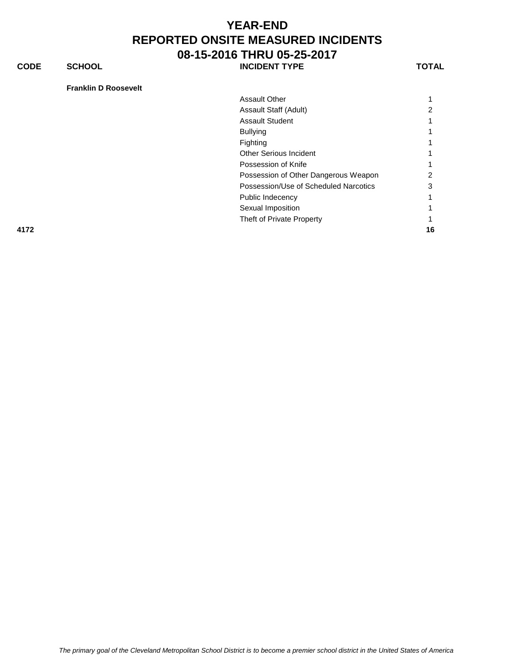**CODE SCHOOL SCHOOL** INCIDENT TYPE TOTAL

#### **Franklin D Roosevelt**

| 4172 |                                       | 16 |
|------|---------------------------------------|----|
|      | Theft of Private Property             |    |
|      | Sexual Imposition                     |    |
|      | Public Indecency                      |    |
|      | Possession/Use of Scheduled Narcotics | З  |
|      | Possession of Other Dangerous Weapon  |    |
|      | Possession of Knife                   |    |
|      | <b>Other Serious Incident</b>         |    |
|      | Fighting                              |    |
|      | <b>Bullying</b>                       |    |
|      | <b>Assault Student</b>                |    |
|      | Assault Staff (Adult)                 |    |
|      | <b>Assault Other</b>                  |    |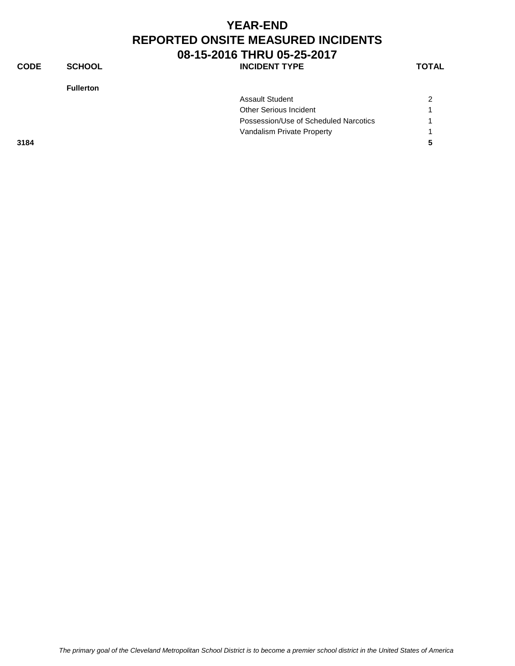| <b>YEAR-END</b>                           |
|-------------------------------------------|
| <b>REPORTED ONSITE MEASURED INCIDENTS</b> |
| 08-15-2016 THRU 05-25-2017                |

**CODE SCHOOL SCHOOL** INCIDENT TYPE

**Fullerton**

| w<br>۰. |
|---------|
|---------|

| Vandalism Private Property            |   |
|---------------------------------------|---|
|                                       |   |
| Possession/Use of Scheduled Narcotics |   |
| Other Serious Incident                |   |
| <b>Assault Student</b>                | 2 |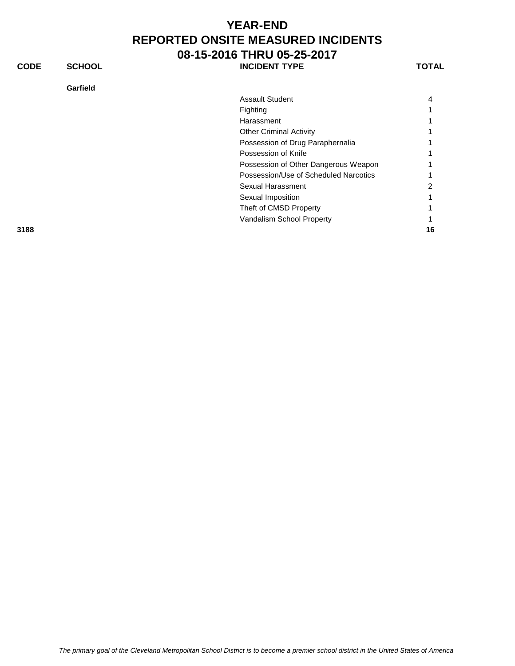#### **Garfield**

**CONDENT TYPE TOTAL** 

| Assault Student                       | 4 |
|---------------------------------------|---|
| Fighting                              |   |
| Harassment                            |   |
| <b>Other Criminal Activity</b>        |   |
| Possession of Drug Paraphernalia      |   |
| Possession of Knife                   |   |
| Possession of Other Dangerous Weapon  |   |
| Possession/Use of Scheduled Narcotics |   |
| Sexual Harassment                     | 2 |
| Sexual Imposition                     |   |
| Theft of CMSD Property                |   |
| Vandalism School Property             |   |
|                                       |   |

**3188 16**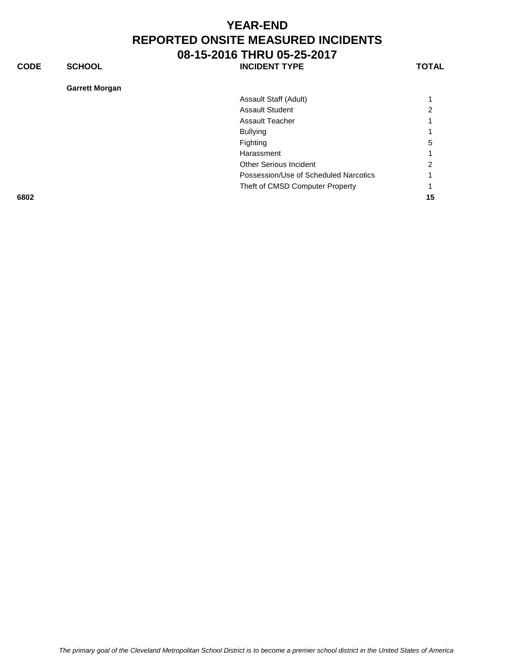**CODE SCHOOL SCHOOL INCIDENT TYPE TOTAL** 

**Garrett Morgan**

| Garrett morgan |                                       |    |
|----------------|---------------------------------------|----|
|                | Assault Staff (Adult)                 |    |
|                | <b>Assault Student</b>                | ∠  |
|                | <b>Assault Teacher</b>                |    |
|                | <b>Bullying</b>                       |    |
|                | Fighting                              | 5  |
|                | Harassment                            |    |
|                | <b>Other Serious Incident</b>         | 2  |
|                | Possession/Use of Scheduled Narcotics |    |
|                | Theft of CMSD Computer Property       |    |
| 6802           |                                       | 15 |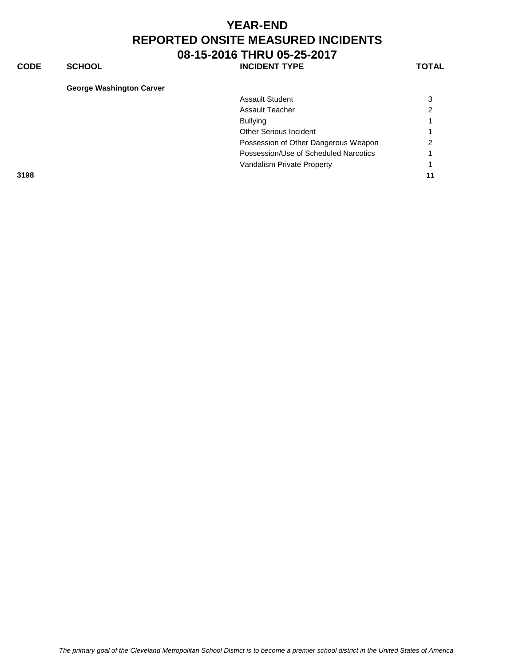**CODE SCHOOL SCHOOL INCIDENT TYPE TOTAL** 

#### **George Washington Carver**

| _________________________________ |                                       |                |
|-----------------------------------|---------------------------------------|----------------|
|                                   | <b>Assault Student</b>                | 3              |
|                                   | <b>Assault Teacher</b>                | $\overline{2}$ |
|                                   | <b>Bullying</b>                       |                |
|                                   | Other Serious Incident                |                |
|                                   | Possession of Other Dangerous Weapon  | $\mathcal{P}$  |
|                                   | Possession/Use of Scheduled Narcotics |                |
|                                   | Vandalism Private Property            |                |
| 3198                              |                                       | 11             |
|                                   |                                       |                |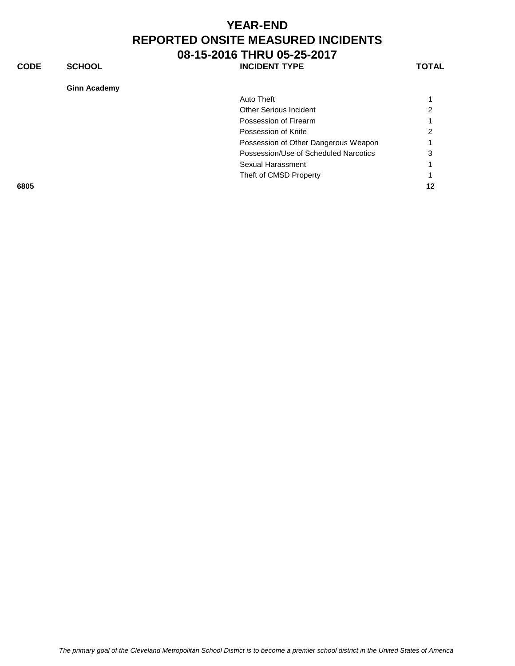**CODE SCHOOL SCHOOL INCIDENT TYPE TOTAL** 

**Ginn Academy**

| Ginn Academy |                                       |    |
|--------------|---------------------------------------|----|
|              | Auto Theft                            |    |
|              | <b>Other Serious Incident</b>         |    |
|              | Possession of Firearm                 |    |
|              | Possession of Knife                   |    |
|              | Possession of Other Dangerous Weapon  |    |
|              | Possession/Use of Scheduled Narcotics | 3  |
|              | Sexual Harassment                     |    |
|              | Theft of CMSD Property                |    |
| 6805         |                                       | 12 |
|              |                                       |    |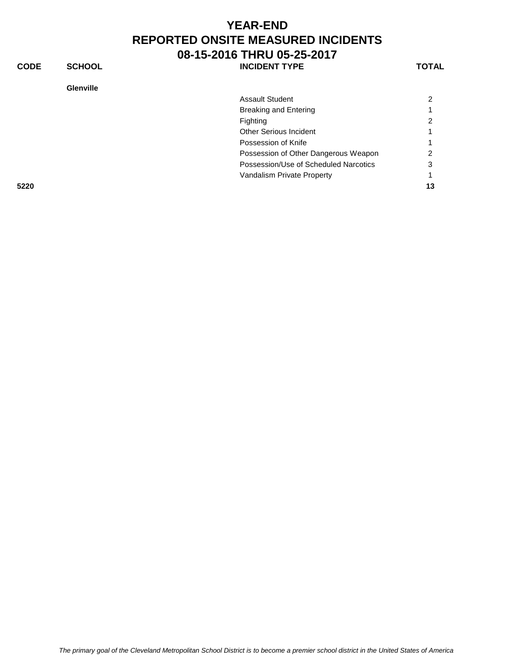**CODE SCHOOL SCHOOL INCIDENT TYPE TOTAL** 

#### **Glenville**

| <b>Assault Student</b>                | 2  |
|---------------------------------------|----|
| <b>Breaking and Entering</b>          |    |
| Fighting                              | 2  |
| Other Serious Incident                |    |
| Possession of Knife                   |    |
| Possession of Other Dangerous Weapon  | ົ  |
| Possession/Use of Scheduled Narcotics | 3  |
| Vandalism Private Property            |    |
|                                       | 13 |
|                                       |    |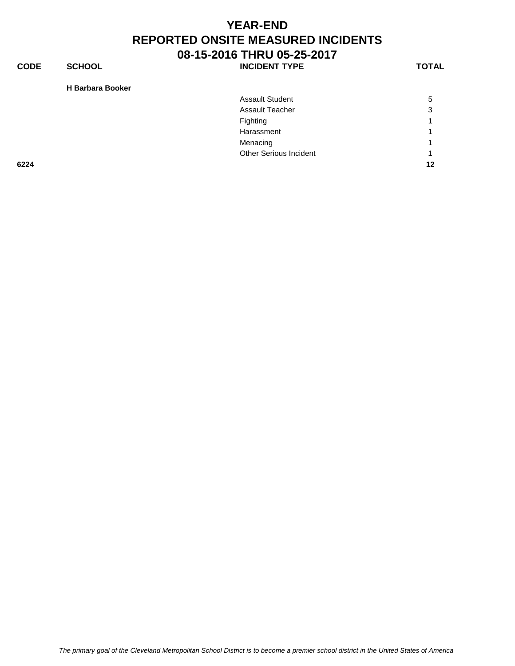**CODE SCHOOL SCHOOL INCIDENT TYPE TOTAL** 

**H Barbara Booker**

| 6224 |                        | 12 |
|------|------------------------|----|
|      | Other Serious Incident | -1 |
|      | Menacing               | л  |
|      | Harassment             |    |
|      | Fighting               | л  |
|      | <b>Assault Teacher</b> | 3  |
|      | <b>Assault Student</b> | 5  |
|      |                        |    |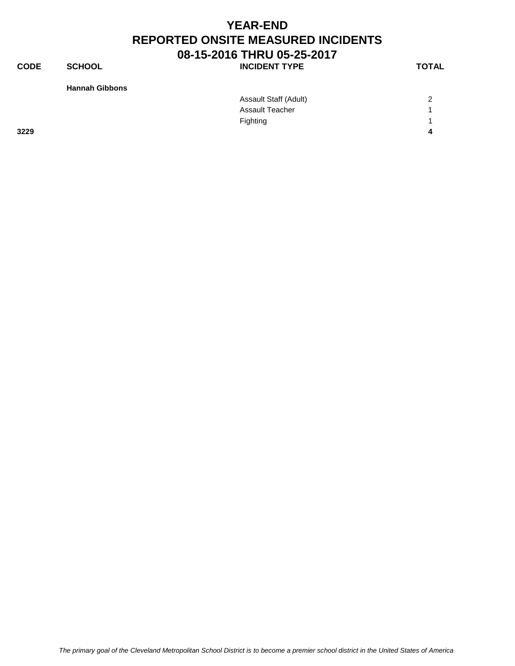**CODE SCHOOL SCHOOL INCIDENT TYPE TOTAL** 

**Hannah Gibbons**

|      | Assault Staff (Adult) | 2 |
|------|-----------------------|---|
|      | Assault Teacher       |   |
|      | Fighting              |   |
| 3229 |                       | 4 |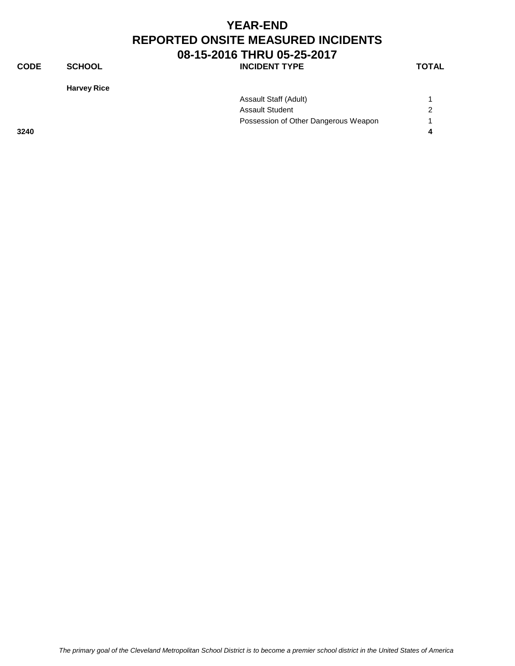#### **YEAR-END REPORTED ONSITE MEASURED INCIDENTS 08-15-2016 THRU 05-25-2017 CODE SCHOOL SCHOOL INCIDENT TYPE TOTAL**

**Harvey Rice**

| Assault Staff (Adult)                |   |
|--------------------------------------|---|
| Assault Student                      | 2 |
| Possession of Other Dangerous Weapon |   |
|                                      |   |

**3240 4**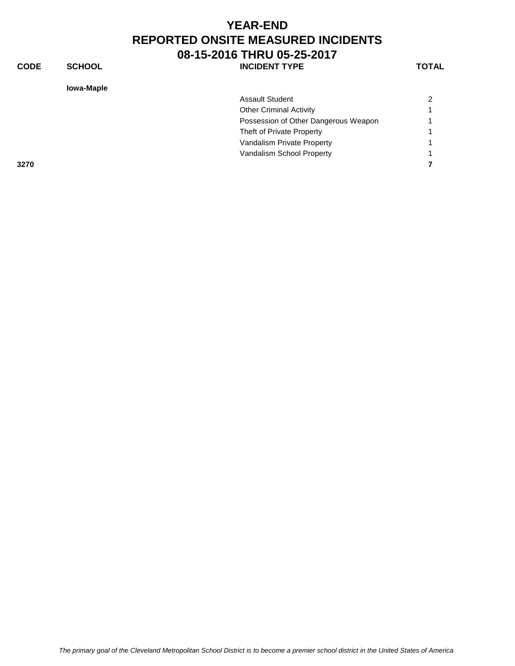**CODE SCHOOL SCHOOL INCIDENT TYPE TOTAL** 

**Iowa-Maple**

| <b>lowa-Maple</b> |                                      |               |
|-------------------|--------------------------------------|---------------|
|                   | <b>Assault Student</b>               | $\mathcal{P}$ |
|                   | <b>Other Criminal Activity</b>       |               |
|                   | Possession of Other Dangerous Weapon |               |
|                   | Theft of Private Property            |               |
|                   | Vandalism Private Property           |               |
|                   | Vandalism School Property            |               |
| 3270              |                                      |               |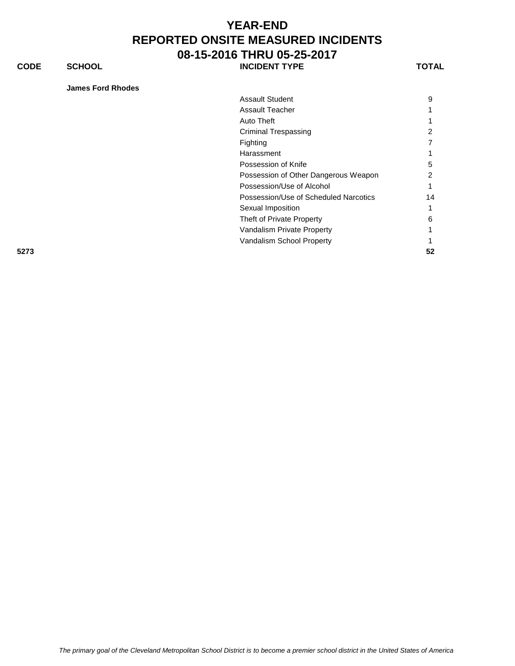**CODE SCHOOL SCHOOL** INCIDENT TYPE TOTAL

|  | James Ford Rhodes |
|--|-------------------|

|      | <b>Assault Student</b>                | 9  |
|------|---------------------------------------|----|
|      | <b>Assault Teacher</b>                |    |
|      | Auto Theft                            |    |
|      | <b>Criminal Trespassing</b>           | 2  |
|      | Fighting                              |    |
|      | Harassment                            |    |
|      | Possession of Knife                   | 5  |
|      | Possession of Other Dangerous Weapon  | 2  |
|      | Possession/Use of Alcohol             |    |
|      | Possession/Use of Scheduled Narcotics | 14 |
|      | Sexual Imposition                     |    |
|      | Theft of Private Property             | 6  |
|      | Vandalism Private Property            |    |
|      | Vandalism School Property             |    |
| 5273 |                                       | 52 |
|      |                                       |    |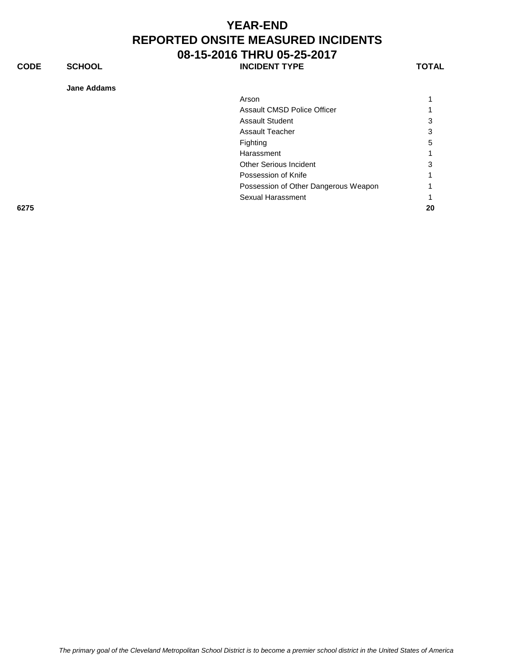**CODE SCHOOL SCHOOL INCIDENT TYPE TOTAL** 

**Jane Addams**

| Jane Addams |                                      |    |
|-------------|--------------------------------------|----|
|             | Arson                                |    |
|             | Assault CMSD Police Officer          |    |
|             | <b>Assault Student</b>               | 3  |
|             | <b>Assault Teacher</b>               | 3  |
|             | Fighting                             | 5  |
|             | Harassment                           |    |
|             | <b>Other Serious Incident</b>        | 3  |
|             | Possession of Knife                  |    |
|             | Possession of Other Dangerous Weapon |    |
|             | Sexual Harassment                    |    |
| 6275        |                                      | 20 |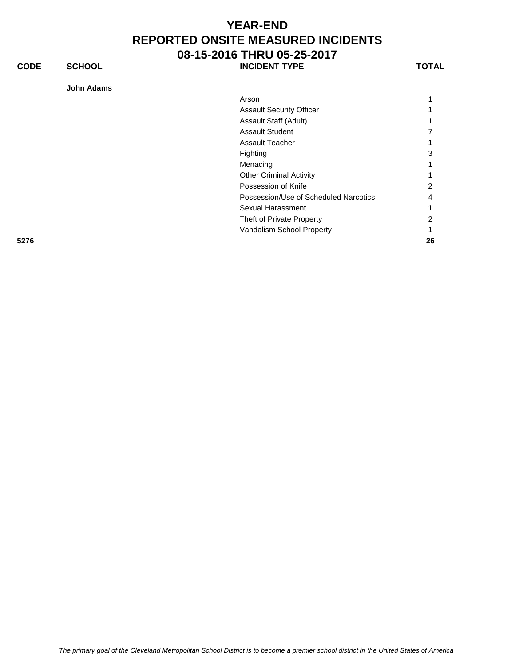**CODE SCHOOL SCHOOL INCIDENT TYPE TOTAL** 

**John Adams**

| JUIIII AUdIIIS |                                       |    |
|----------------|---------------------------------------|----|
|                | Arson                                 |    |
|                | <b>Assault Security Officer</b>       |    |
|                | Assault Staff (Adult)                 |    |
|                | <b>Assault Student</b>                |    |
|                | <b>Assault Teacher</b>                |    |
|                | Fighting                              | 3  |
|                | Menacing                              |    |
|                | <b>Other Criminal Activity</b>        |    |
|                | Possession of Knife                   | 2  |
|                | Possession/Use of Scheduled Narcotics | 4  |
|                | Sexual Harassment                     |    |
|                | Theft of Private Property             | 2  |
|                | Vandalism School Property             |    |
| 5276           |                                       | 26 |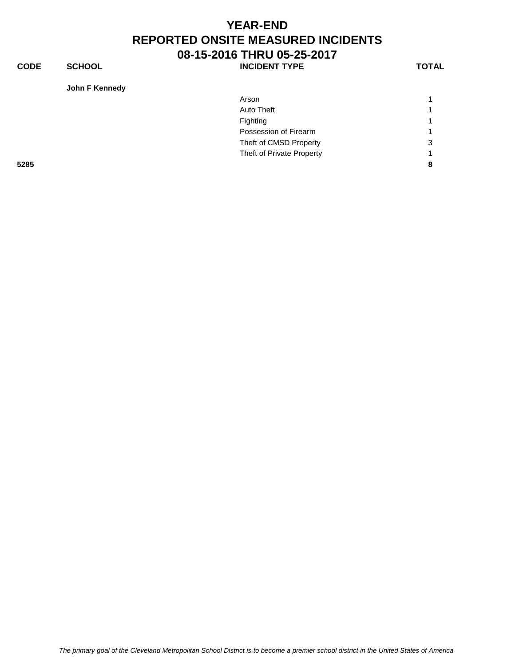**CODE SCHOOL SCHOOL INCIDENT TYPE TOTAL** 

**John F Kennedy**

| Arson                     |   |
|---------------------------|---|
| Auto Theft                | 4 |
| Fighting                  |   |
| Possession of Firearm     | 4 |
| Theft of CMSD Property    | 3 |
| Theft of Private Property |   |
|                           | 8 |
|                           |   |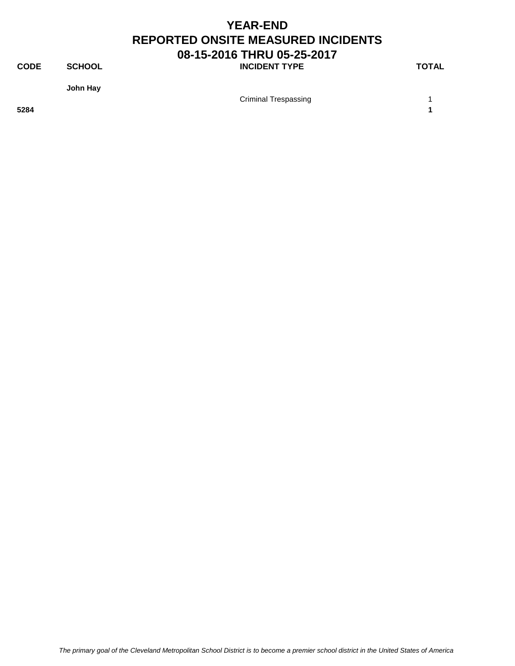**CODE SCHOOL SCHOOL INCIDENT TYPE TOTAL** 

**John Hay**

Criminal Trespassing 1

**5284 1**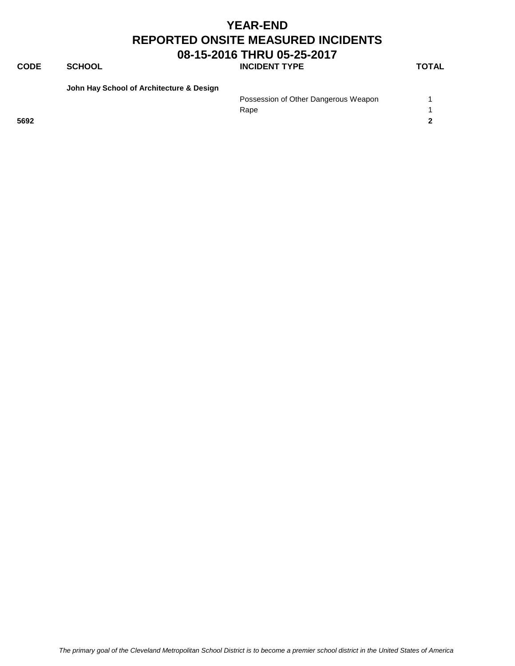#### **CODE SCHOOL SCHOOL** INCIDENT TYPE TOTAL

**John Hay School of Architecture & Design**

|      |  | Possession of Other Dangerous Weapon |  |
|------|--|--------------------------------------|--|
|      |  | Rape                                 |  |
| 5692 |  |                                      |  |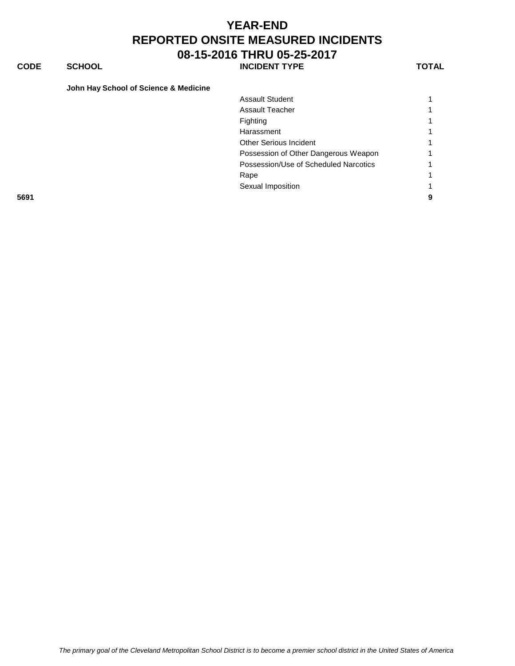#### **CODE SCHOOL SCHOOL** INCIDENT TYPE TOTAL

|  |  |  |  |  |  | John Hay School of Science & Medicine |
|--|--|--|--|--|--|---------------------------------------|
|--|--|--|--|--|--|---------------------------------------|

|      | <b>Assault Student</b>                |   |
|------|---------------------------------------|---|
|      | Assault Teacher                       |   |
|      | Fighting                              |   |
|      | Harassment                            |   |
|      | <b>Other Serious Incident</b>         |   |
|      | Possession of Other Dangerous Weapon  |   |
|      | Possession/Use of Scheduled Narcotics |   |
|      | Rape                                  |   |
|      | Sexual Imposition                     |   |
| 5691 |                                       | 9 |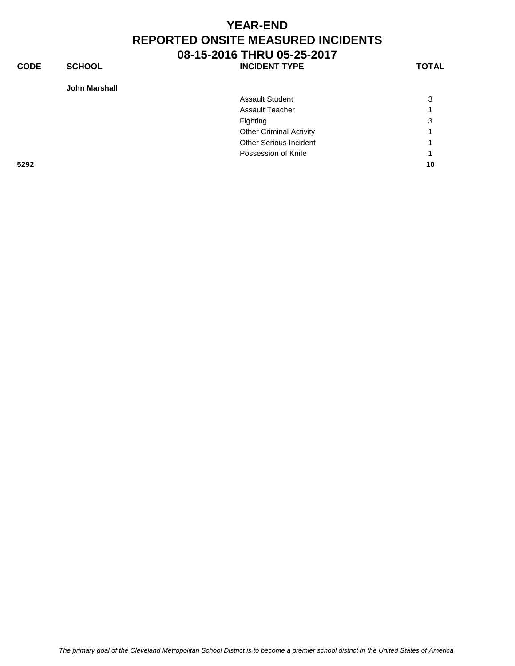**CODE SCHOOL SCHOOL INCIDENT TYPE TOTAL** 

**John Marshall**

| <b>John Marshall</b> |                                |    |
|----------------------|--------------------------------|----|
|                      | <b>Assault Student</b>         | 3  |
|                      | <b>Assault Teacher</b>         |    |
|                      | Fighting                       | 3  |
|                      | <b>Other Criminal Activity</b> |    |
|                      | <b>Other Serious Incident</b>  | 1  |
|                      | Possession of Knife            |    |
| 5292                 |                                | 10 |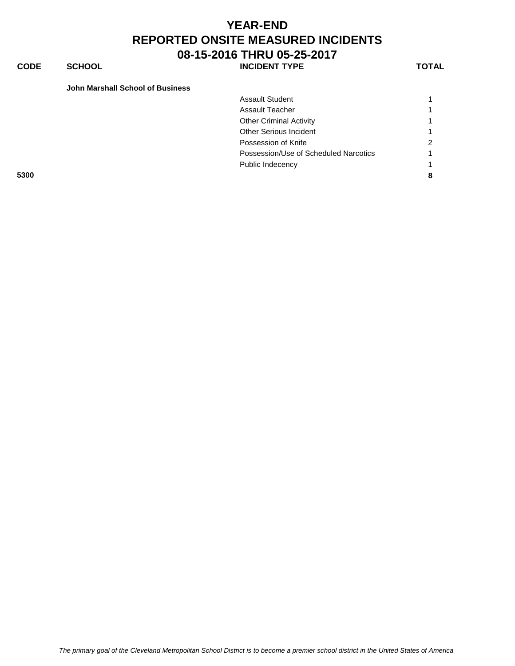**CODE SCHOOL SCHOOL INCIDENT TYPE TOTAL** 

#### **John Marshall School of Business**

|      | <b>Assault Student</b>                |   |
|------|---------------------------------------|---|
|      | <b>Assault Teacher</b>                |   |
|      | <b>Other Criminal Activity</b>        |   |
|      | <b>Other Serious Incident</b>         |   |
|      | Possession of Knife                   | ົ |
|      | Possession/Use of Scheduled Narcotics |   |
|      | Public Indecency                      |   |
| 5300 |                                       |   |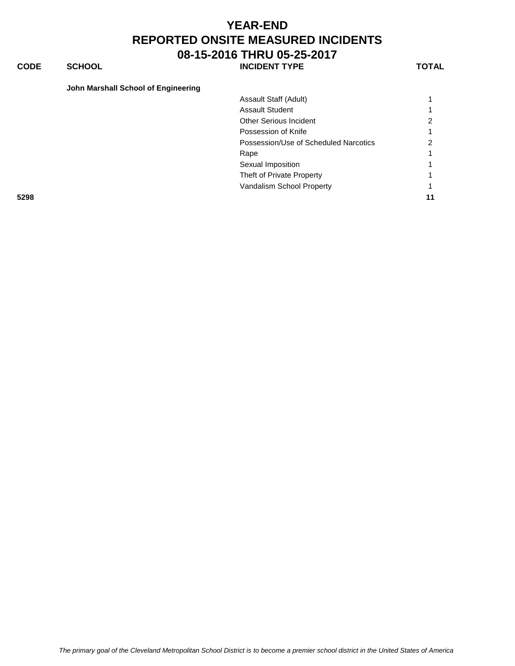#### **CODE SCHOOL SCHOOL** INCIDENT TYPE TOTAL

|  | John Marshall School of Engineering |  |
|--|-------------------------------------|--|
|  |                                     |  |

|      | Assault Staff (Adult)                 |    |
|------|---------------------------------------|----|
|      | <b>Assault Student</b>                |    |
|      | <b>Other Serious Incident</b>         |    |
|      | Possession of Knife                   |    |
|      | Possession/Use of Scheduled Narcotics |    |
|      | Rape                                  |    |
|      | Sexual Imposition                     |    |
|      | Theft of Private Property             |    |
|      | Vandalism School Property             |    |
| 5298 |                                       | 11 |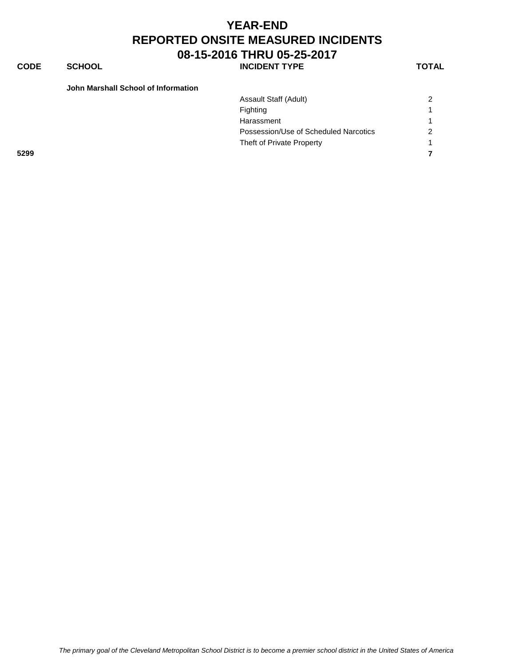#### **YEAR-END REPORTED ONSITE MEASURED INCIDENTS 08-15-2016 THRU 05-25-2017 CODE SCHOOL SCHOOL INCIDENT TYPE TOTAL**

| John Marshall School of Information |                                       |                |
|-------------------------------------|---------------------------------------|----------------|
|                                     | Assault Staff (Adult)                 | 2              |
|                                     | Fighting                              | 4              |
|                                     | Harassment                            |                |
|                                     | Possession/Use of Scheduled Narcotics | $\overline{c}$ |
|                                     | Theft of Private Property             |                |
| 5299                                |                                       |                |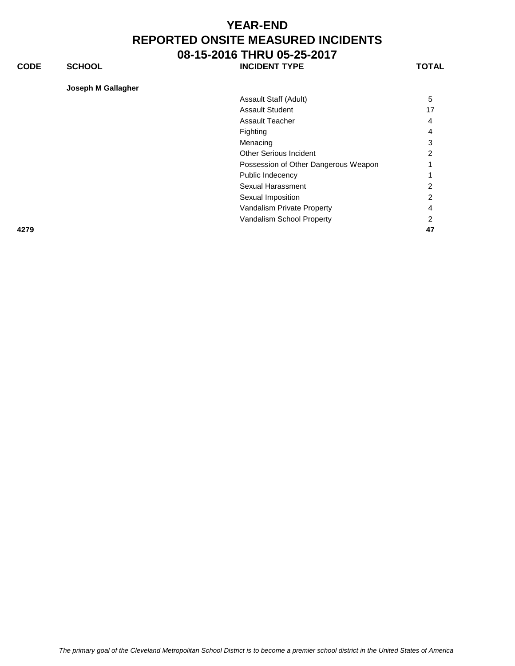**CODE SCHOOL SCHOOL** INCIDENT TYPE TOTAL

| Joseph M Gallagher |  |  |  |
|--------------------|--|--|--|
|                    |  |  |  |

|      | Assault Staff (Adult)                | 5              |
|------|--------------------------------------|----------------|
|      | <b>Assault Student</b>               | 17             |
|      | Assault Teacher                      | $\overline{4}$ |
|      | Fighting                             | 4              |
|      | Menacing                             | 3              |
|      | Other Serious Incident               | 2              |
|      | Possession of Other Dangerous Weapon |                |
|      | Public Indecency                     |                |
|      | Sexual Harassment                    | 2              |
|      | Sexual Imposition                    | 2              |
|      | Vandalism Private Property           | $\overline{4}$ |
|      | Vandalism School Property            | 2              |
| 4279 |                                      | 47             |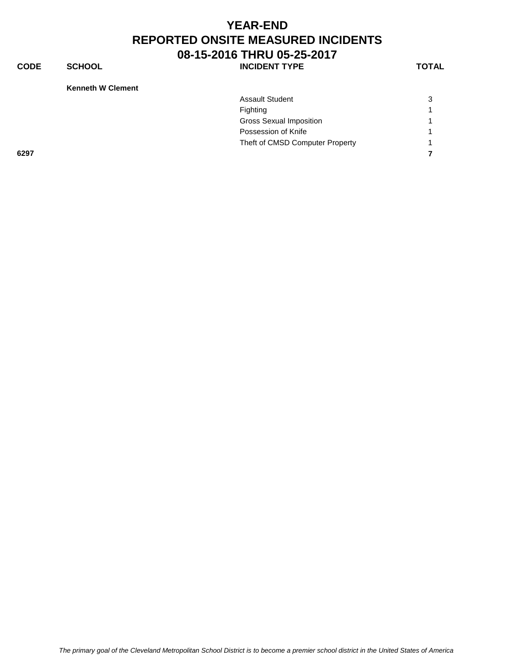**CODE SCHOOL SCHOOL INCIDENT TYPE TOTAL** 

**Kenneth W Clement**

|      | <b>Assault Student</b>          | 3 |
|------|---------------------------------|---|
|      | Fighting                        | 1 |
|      | <b>Gross Sexual Imposition</b>  | 1 |
|      | Possession of Knife             | 1 |
|      | Theft of CMSD Computer Property |   |
| 6297 |                                 |   |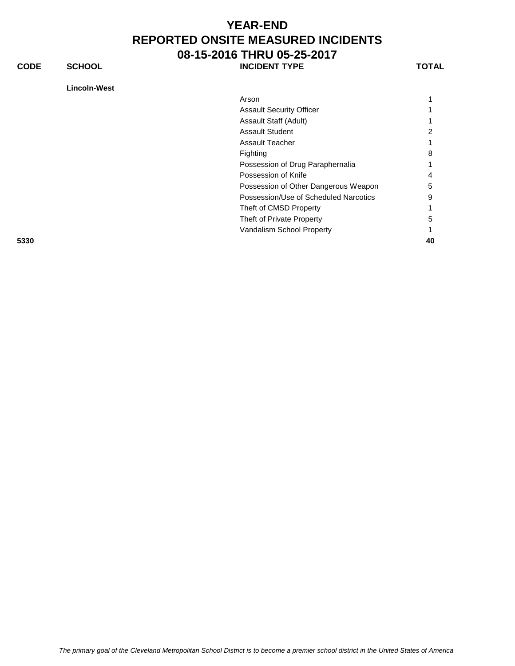**CODE SCHOOL SCHOOL INCIDENT TYPE TOTAL** 

**Lincoln-West**

| <b>Lincoin-west</b> |                                       |    |
|---------------------|---------------------------------------|----|
|                     | Arson                                 | 1  |
|                     | <b>Assault Security Officer</b>       |    |
|                     | Assault Staff (Adult)                 | 1  |
|                     | <b>Assault Student</b>                | 2  |
|                     | <b>Assault Teacher</b>                | 1  |
|                     | Fighting                              | 8  |
|                     | Possession of Drug Paraphernalia      |    |
|                     | Possession of Knife                   | 4  |
|                     | Possession of Other Dangerous Weapon  | 5  |
|                     | Possession/Use of Scheduled Narcotics | 9  |
|                     | Theft of CMSD Property                | 1  |
|                     | Theft of Private Property             | 5  |
|                     | Vandalism School Property             | 1  |
| 5330                |                                       | 40 |
|                     |                                       |    |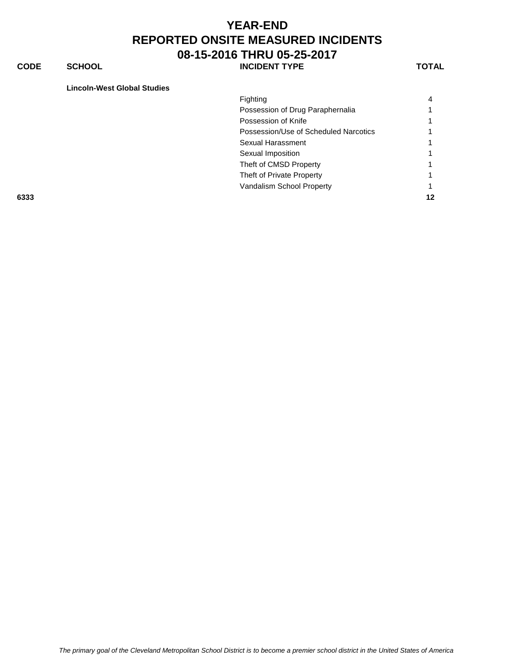**CODE SCHOOL SCHOOL INCIDENT TYPE TOTAL** 

**Lincoln-West Global Studies**

|      | Fighting                              | 4  |
|------|---------------------------------------|----|
|      | Possession of Drug Paraphernalia      |    |
|      | Possession of Knife                   |    |
|      | Possession/Use of Scheduled Narcotics |    |
|      | Sexual Harassment                     |    |
|      | Sexual Imposition                     |    |
|      | Theft of CMSD Property                |    |
|      | Theft of Private Property             |    |
|      | Vandalism School Property             |    |
| 6333 |                                       | 12 |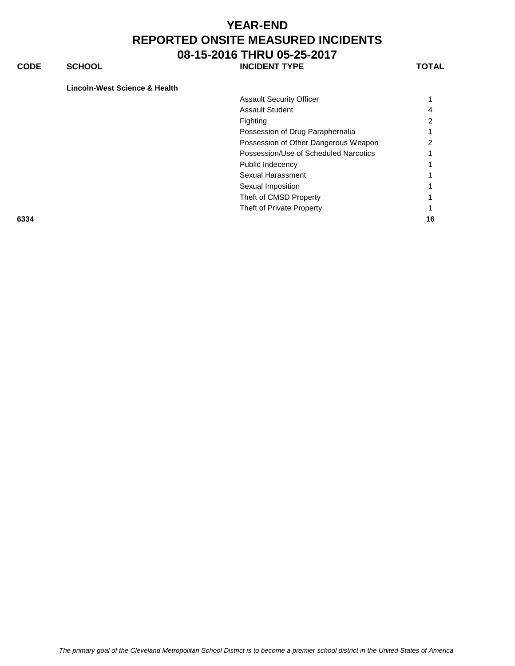**CODE SCHOOL SCHOOL INCIDENT TYPE TOTAL** 

#### **Lincoln-West Science & Health**

|      | <b>Assault Security Officer</b>       |    |
|------|---------------------------------------|----|
|      | <b>Assault Student</b>                | 4  |
|      | Fighting                              |    |
|      | Possession of Drug Paraphernalia      |    |
|      | Possession of Other Dangerous Weapon  |    |
|      | Possession/Use of Scheduled Narcotics |    |
|      | Public Indecency                      |    |
|      | Sexual Harassment                     |    |
|      | Sexual Imposition                     |    |
|      | Theft of CMSD Property                |    |
|      | Theft of Private Property             |    |
| 6334 |                                       | 16 |
|      |                                       |    |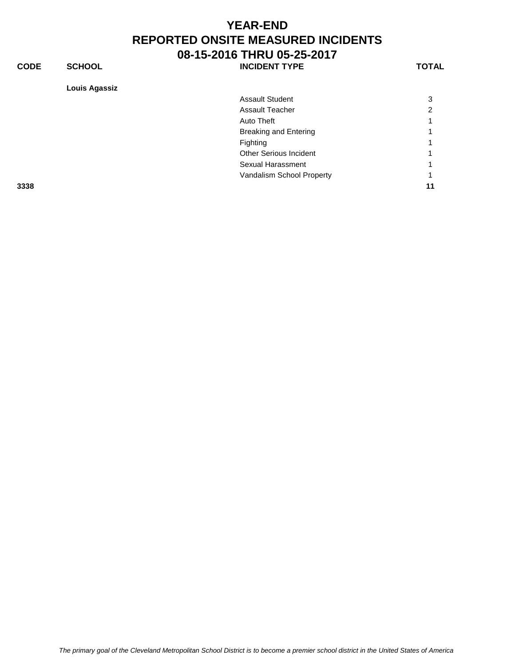**CODE SCHOOL SCHOOL INCIDENT TYPE TOTAL** 

**Louis Agassiz**

| Louis Agassiz |                               |    |
|---------------|-------------------------------|----|
|               | <b>Assault Student</b>        | 3  |
|               | <b>Assault Teacher</b>        | ົ  |
|               | Auto Theft                    |    |
|               | <b>Breaking and Entering</b>  |    |
|               | Fighting                      |    |
|               | <b>Other Serious Incident</b> |    |
|               | Sexual Harassment             |    |
|               | Vandalism School Property     |    |
| 3338          |                               | 11 |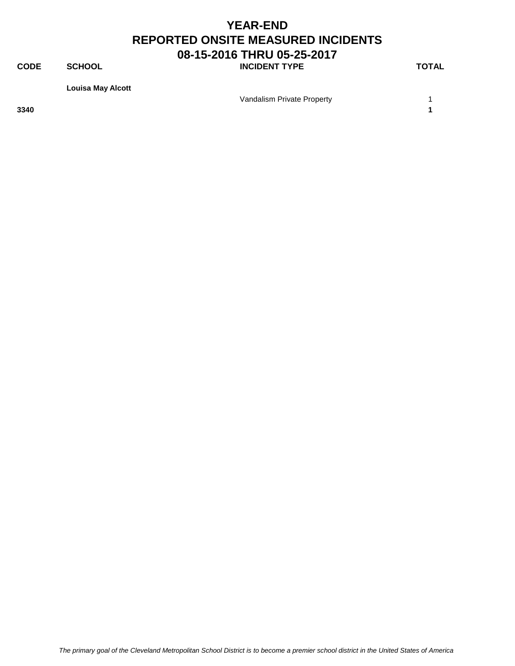**CODE SCHOOL SCHOOL INCIDENT TYPE TOTAL** 

**Louisa May Alcott**

Vandalism Private Property **1** 

**3340 1**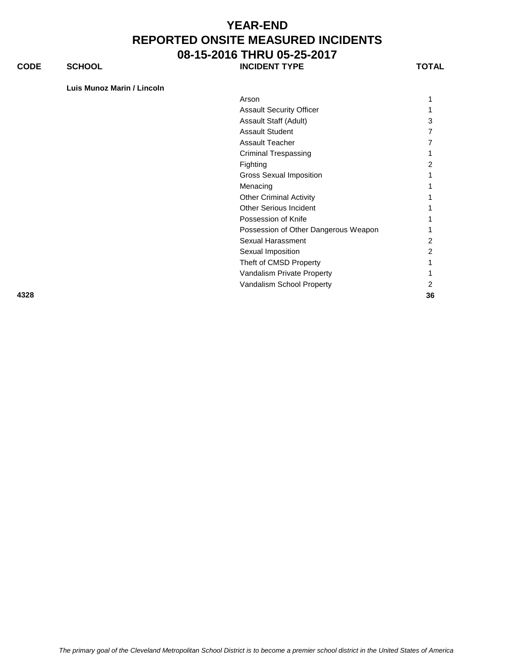**CODE SCHOOL SCHOOL INCIDENT TYPE TOTAL** 

**Luis Munoz Marin / Lincoln**

| Arson                                |    |
|--------------------------------------|----|
| <b>Assault Security Officer</b>      |    |
| Assault Staff (Adult)                | 3  |
| <b>Assault Student</b>               |    |
| <b>Assault Teacher</b>               |    |
| <b>Criminal Trespassing</b>          |    |
| Fighting                             | 2  |
| <b>Gross Sexual Imposition</b>       |    |
| Menacing                             |    |
| <b>Other Criminal Activity</b>       |    |
| <b>Other Serious Incident</b>        |    |
| Possession of Knife                  |    |
| Possession of Other Dangerous Weapon |    |
| Sexual Harassment                    | 2  |
| Sexual Imposition                    | 2  |
| Theft of CMSD Property               |    |
| Vandalism Private Property           |    |
| Vandalism School Property            | 2  |
| 4328                                 | 36 |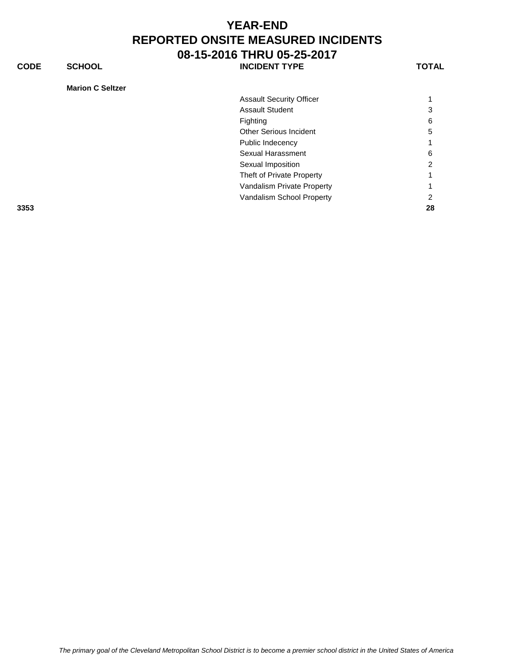**CODE SCHOOL SCHOOL** INCIDENT TYPE TOTAL

|  | <b>Marion C Seltzer</b> |
|--|-------------------------|
|--|-------------------------|

| <b>Assault Security Officer</b> |    |
|---------------------------------|----|
| <b>Assault Student</b>          | 3  |
| Fighting                        | 6  |
| Other Serious Incident          | 5  |
| Public Indecency                |    |
| Sexual Harassment               | 6  |
| Sexual Imposition               | 2  |
| Theft of Private Property       |    |
| Vandalism Private Property      |    |
| Vandalism School Property       | 2  |
|                                 | 28 |
|                                 |    |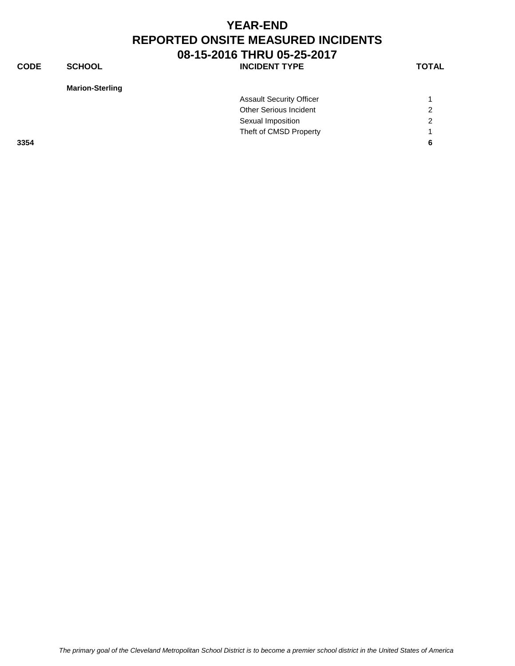**CODE SCHOOL SCHOOL** INCIDENT TYPE TOTAL

| <b>Marion-Sterling</b> |  |
|------------------------|--|
|------------------------|--|

|      | <b>Assault Security Officer</b> |   |
|------|---------------------------------|---|
|      | <b>Other Serious Incident</b>   | 2 |
|      | Sexual Imposition               | 2 |
|      | Theft of CMSD Property          |   |
| 3354 |                                 | 6 |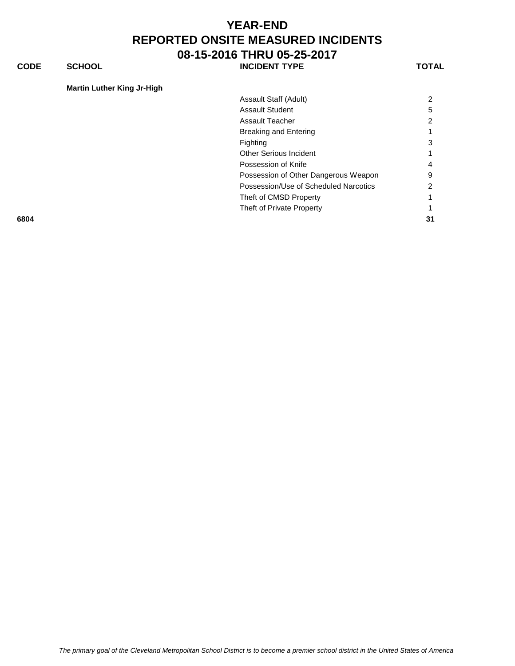**CODE SCHOOL SCHOOL INCIDENT TYPE TOTAL** 

**Martin Luther King Jr-High**

| Assault Staff (Adult)                 | າ  |
|---------------------------------------|----|
| <b>Assault Student</b>                | 5  |
| <b>Assault Teacher</b>                | ◠  |
| <b>Breaking and Entering</b>          |    |
| Fighting                              | 3  |
| <b>Other Serious Incident</b>         |    |
| Possession of Knife                   | 4  |
| Possession of Other Dangerous Weapon  | 9  |
| Possession/Use of Scheduled Narcotics |    |
| Theft of CMSD Property                |    |
| Theft of Private Property             |    |
|                                       | 31 |
|                                       |    |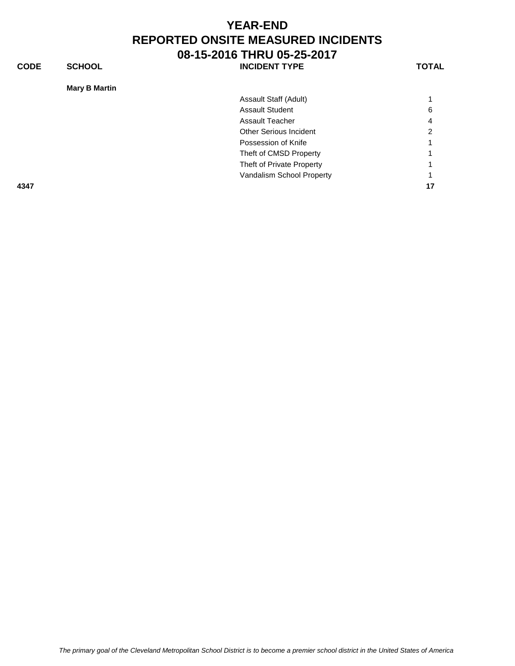**CODE SCHOOL SCHOOL** INCIDENT TYPE TOTAL

| <b>Mary B Martin</b> |                               |    |
|----------------------|-------------------------------|----|
|                      | Assault Staff (Adult)         |    |
|                      | <b>Assault Student</b>        | 6  |
|                      | <b>Assault Teacher</b>        | 4  |
|                      | <b>Other Serious Incident</b> | 2  |
|                      | Possession of Knife           |    |
|                      | Theft of CMSD Property        |    |
|                      | Theft of Private Property     |    |
|                      | Vandalism School Property     |    |
| 4347                 |                               | 17 |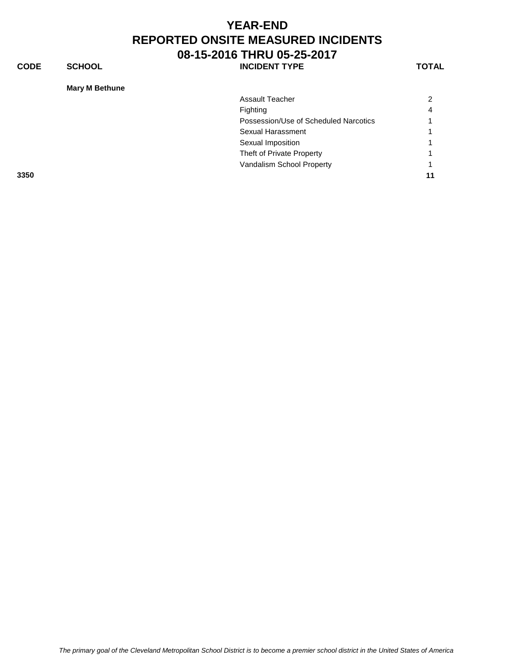**CODE SCHOOL SCHOOL** INCIDENT TYPE TOTAL

|  | <b>Mary M Bethune</b> |
|--|-----------------------|
|--|-----------------------|

|      | <b>Assault Teacher</b>                |           |
|------|---------------------------------------|-----------|
|      | Fighting                              | $\Lambda$ |
|      | Possession/Use of Scheduled Narcotics |           |
|      | Sexual Harassment                     |           |
|      | Sexual Imposition                     |           |
|      | Theft of Private Property             |           |
|      | Vandalism School Property             |           |
| 3350 |                                       |           |
|      |                                       |           |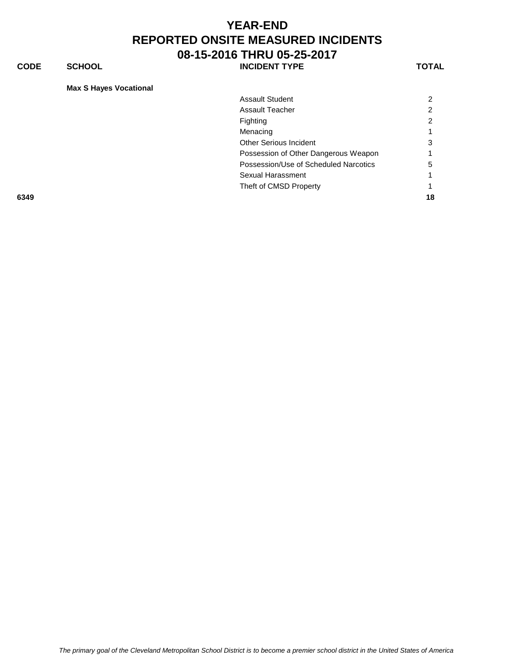**CODE SCHOOL SCHOOL INCIDENT TYPE TOTAL** 

**Max S Hayes Vocational**

| <b>Assault Student</b>                |    |
|---------------------------------------|----|
| <b>Assault Teacher</b>                |    |
| Fighting                              |    |
| Menacing                              |    |
| <b>Other Serious Incident</b>         | 3  |
| Possession of Other Dangerous Weapon  |    |
| Possession/Use of Scheduled Narcotics | 5  |
| Sexual Harassment                     |    |
| Theft of CMSD Property                |    |
|                                       | 18 |
|                                       |    |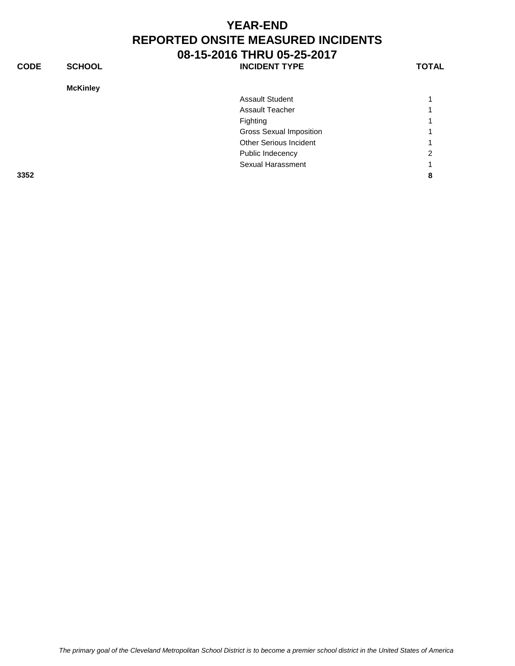**CODE SCHOOL SCHOOL INCIDENT TYPE TOTAL** 

**McKinley**

| <b>McKinley</b> |                                |   |
|-----------------|--------------------------------|---|
|                 | <b>Assault Student</b>         |   |
|                 | <b>Assault Teacher</b>         | 1 |
|                 | Fighting                       | 1 |
|                 | <b>Gross Sexual Imposition</b> |   |
|                 | <b>Other Serious Incident</b>  |   |
|                 | Public Indecency               | 2 |
|                 | Sexual Harassment              |   |
| 3352            |                                | 8 |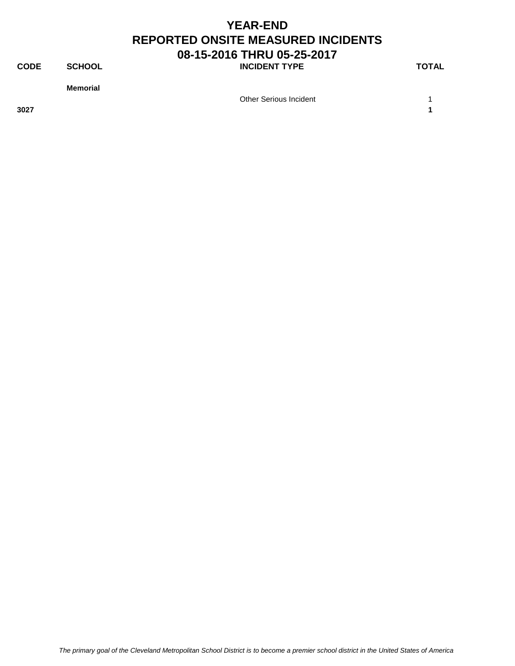**CODE SCHOOL SCHOOL INCIDENT TYPE TOTAL** 

**Memorial**

Other Serious Incident 1

**3027 1**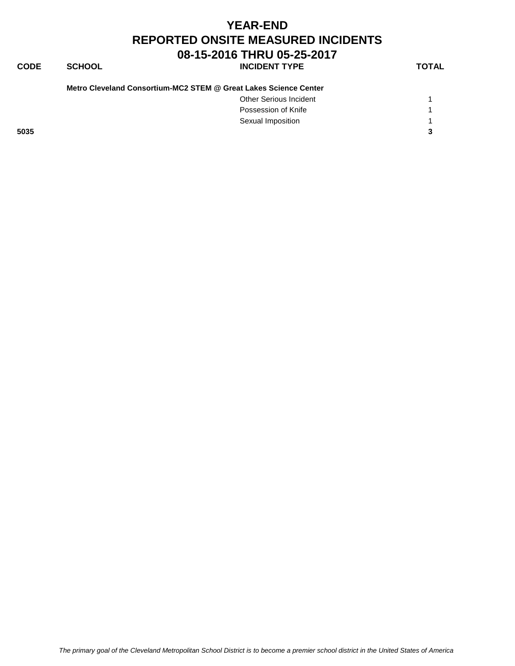#### **CODE SCHOOL SCHOOL** INCIDENT TYPE TOTAL

| Other Serious Incident |  |
|------------------------|--|
| Possession of Knife    |  |
| Sexual Imposition      |  |

**5035 3**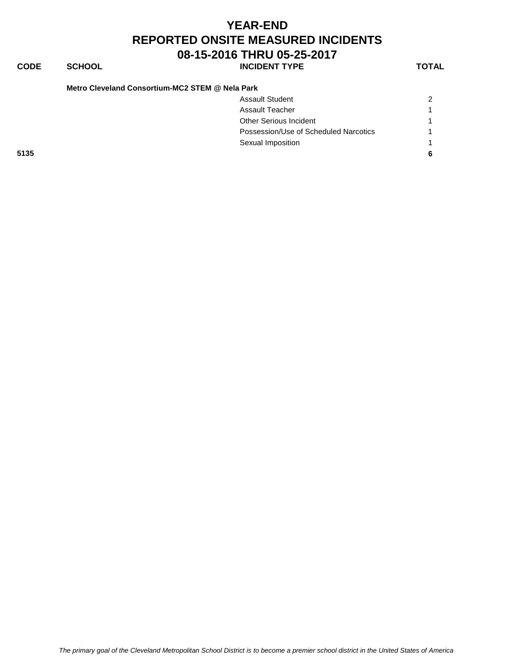| <b>YEAR-END</b>                           |
|-------------------------------------------|
| <b>REPORTED ONSITE MEASURED INCIDENTS</b> |
| 08-15-2016 THRU 05-25-2017                |

## **CODE SCHOOL SCHOOL** INCIDENT TYPE TOTAL

**Metro Cleveland Consortium-MC2 STEM @ Nela Park**

|      | <b>Assault Student</b>                | $\overline{2}$ |
|------|---------------------------------------|----------------|
|      |                                       |                |
|      | Assault Teacher                       |                |
|      | <b>Other Serious Incident</b>         |                |
|      | Possession/Use of Scheduled Narcotics | $\overline{1}$ |
|      | Sexual Imposition                     |                |
| 5135 |                                       | -6             |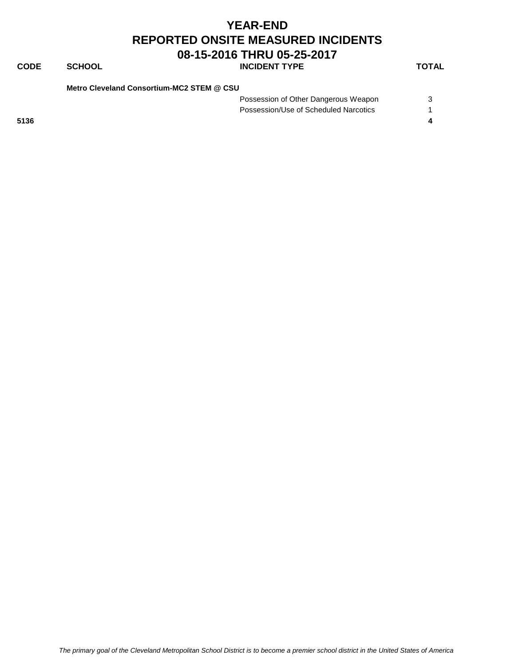#### **CODE SCHOOL INCIDENT TYPE TOTAL**

**Metro Cleveland Consortium-MC2 STEM @ CSU**

Possession of Other Dangerous Weapon 3 Possession/Use of Scheduled Narcotics 1 **5136 4**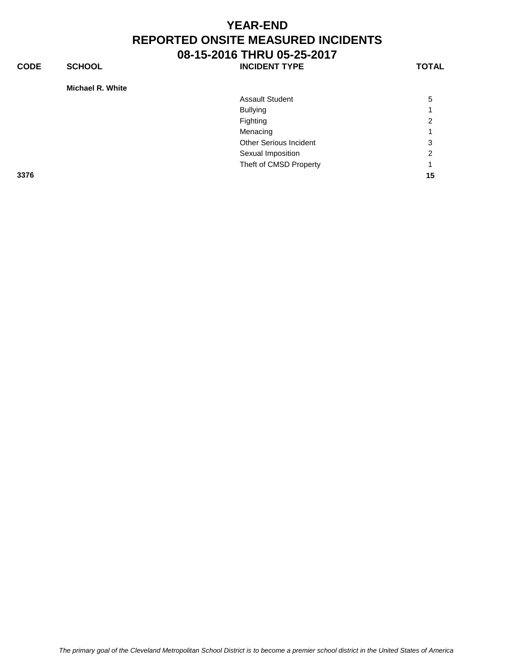**CODE SCHOOL SCHOOL INCIDENT TYPE TOTAL** 

**Michael R. White**

| MICHAEL R. WHILE |                               |    |
|------------------|-------------------------------|----|
|                  | <b>Assault Student</b>        | 5  |
|                  | <b>Bullying</b>               |    |
|                  | Fighting                      | 2  |
|                  | Menacing                      |    |
|                  | <b>Other Serious Incident</b> | 3  |
|                  | Sexual Imposition             | ົ  |
|                  | Theft of CMSD Property        |    |
| 3376             |                               | 15 |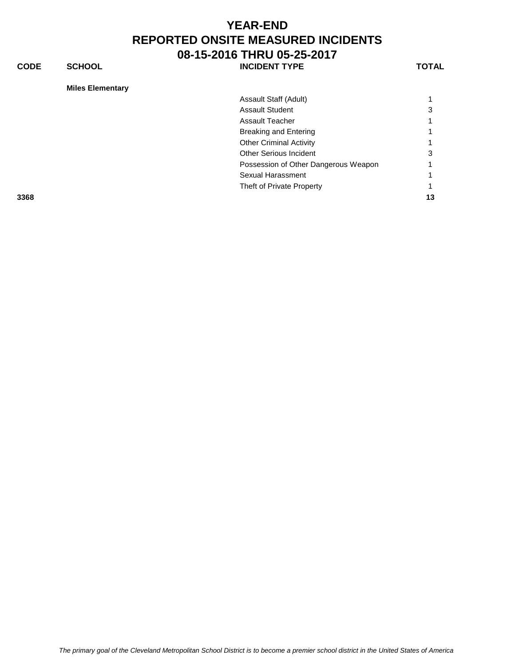**CODE SCHOOL SCHOOL INCIDENT TYPE TOTAL** 

| Assault Staff (Adult)                |    |
|--------------------------------------|----|
| <b>Assault Student</b>               | 3  |
| Assault Teacher                      |    |
| Breaking and Entering                |    |
| <b>Other Criminal Activity</b>       |    |
| <b>Other Serious Incident</b>        |    |
| Possession of Other Dangerous Weapon |    |
| Sexual Harassment                    |    |
| Theft of Private Property            |    |
|                                      | 13 |
|                                      |    |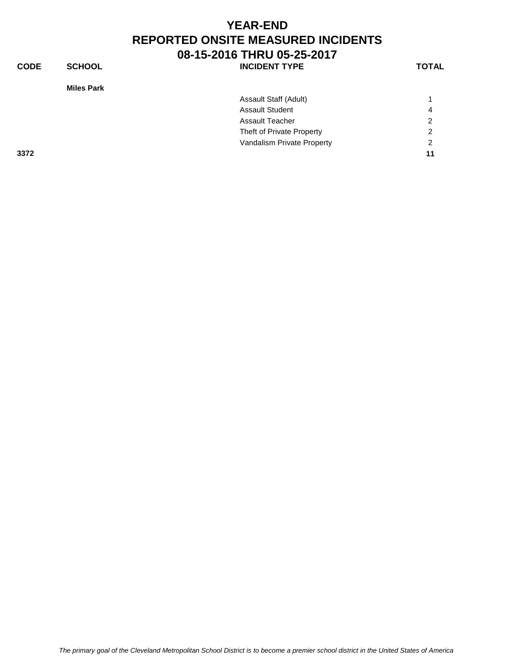| <b>CODE</b> | <b>SCHOOL</b>     | <b>INCIDENT TYPE</b>       | <b>TOTAL</b>   |
|-------------|-------------------|----------------------------|----------------|
|             | <b>Miles Park</b> |                            |                |
|             |                   | Assault Staff (Adult)      |                |
|             |                   | <b>Assault Student</b>     | 4              |
|             |                   | <b>Assault Teacher</b>     | $\overline{2}$ |
|             |                   | Theft of Private Property  | $\overline{2}$ |
|             |                   | Vandalism Private Property | 2              |
| 3372        |                   |                            | 11             |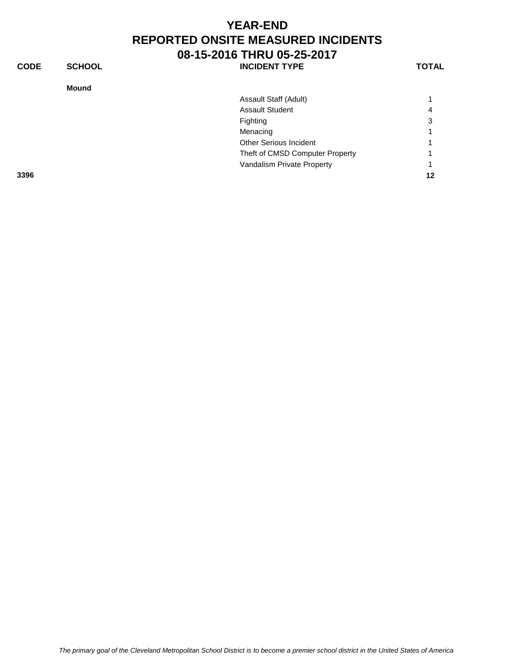| <b>CODE</b> | <b>SCHOOL</b> | <b>INCIDENT TYPE</b>            | <b>TOTAL</b> |
|-------------|---------------|---------------------------------|--------------|
|             | <b>Mound</b>  |                                 |              |
|             |               | Assault Staff (Adult)           |              |
|             |               | <b>Assault Student</b>          | 4            |
|             |               | Fighting                        | 3            |
|             |               | Menacing                        |              |
|             |               | Other Serious Incident          |              |
|             |               | Theft of CMSD Computer Property |              |
|             |               | Vandalism Private Property      |              |
| 3396        |               |                                 | 12           |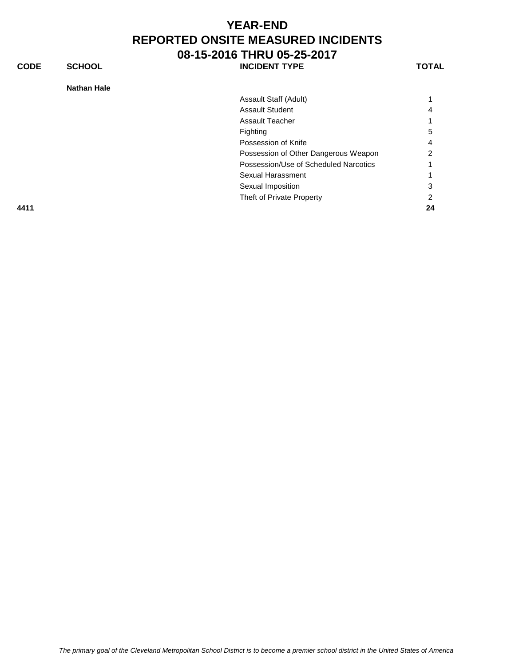**CODE SCHOOL SCHOOL INCIDENT TYPE TOTAL** 

| <b>Nathan Hale</b> |                                       |    |
|--------------------|---------------------------------------|----|
|                    | Assault Staff (Adult)                 |    |
|                    | <b>Assault Student</b>                | 4  |
|                    | <b>Assault Teacher</b>                | 1  |
|                    | Fighting                              | 5  |
|                    | Possession of Knife                   | 4  |
|                    | Possession of Other Dangerous Weapon  | 2  |
|                    | Possession/Use of Scheduled Narcotics | 1  |
|                    | Sexual Harassment                     | 1  |
|                    | Sexual Imposition                     | 3  |
|                    | Theft of Private Property             | 2  |
| 4411               |                                       | 24 |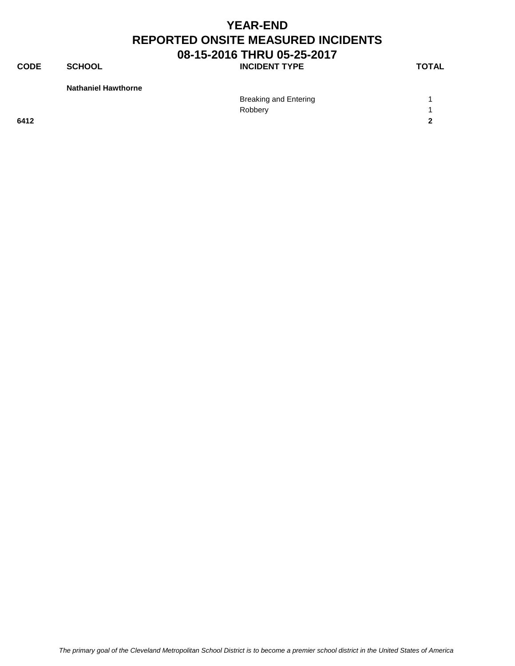**CODE SCHOOL SCHOOL** INCIDENT TYPE TOTAL

**Nathaniel Hawthorne**

|      | <b>Breaking and Entering</b> |            |
|------|------------------------------|------------|
|      | Robbery                      |            |
| 6412 |                              | $\sqrt{2}$ |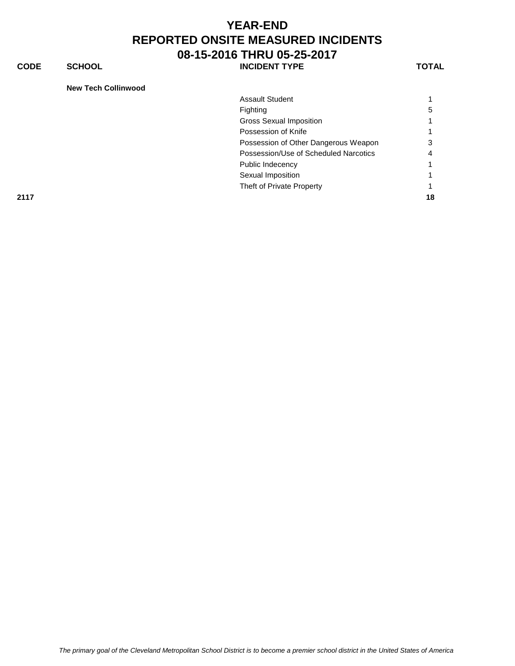**CODE SCHOOL SCHOOL** INCIDENT TYPE TOTAL

|  | <b>New Tech Collinwood</b> |
|--|----------------------------|
|  |                            |

|      | <b>Assault Student</b>                |    |
|------|---------------------------------------|----|
|      | Fighting                              | 5  |
|      | <b>Gross Sexual Imposition</b>        |    |
|      | Possession of Knife                   |    |
|      | Possession of Other Dangerous Weapon  |    |
|      | Possession/Use of Scheduled Narcotics |    |
|      | Public Indecency                      |    |
|      | Sexual Imposition                     |    |
|      | Theft of Private Property             |    |
| 2117 |                                       | 18 |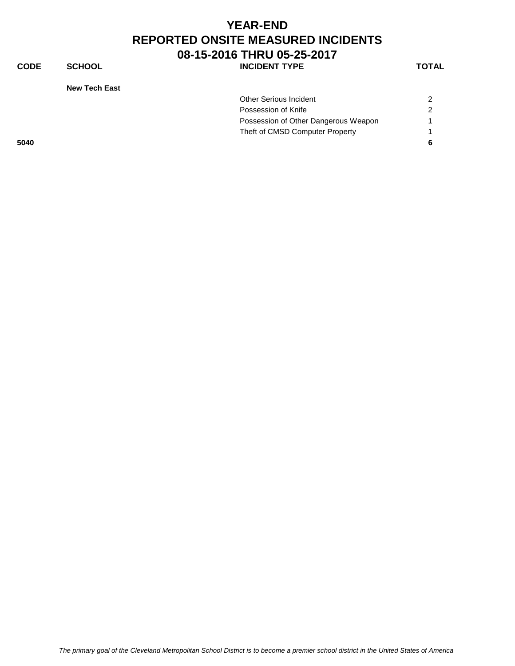#### **YEAR-END REPORTED ONSITE MEASURED INCIDENTS 08-15-2016 THRU 05-25-2017 CODE SCHOOL SCHOOL INCIDENT TYPE TOTAL**

**New Tech East**

| INGW TGOH LASL |                                      |   |
|----------------|--------------------------------------|---|
|                | <b>Other Serious Incident</b>        | 2 |
|                | Possession of Knife                  | 2 |
|                | Possession of Other Dangerous Weapon |   |
|                | Theft of CMSD Computer Property      |   |
| 5040           |                                      |   |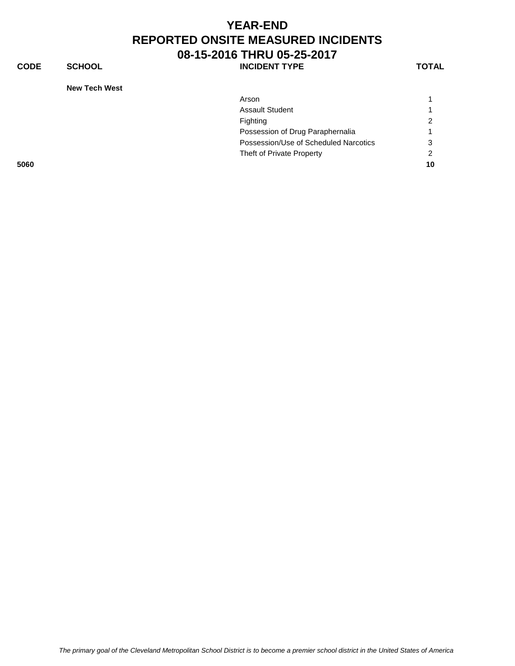#### **YEAR-END REPORTED ONSITE MEASURED INCIDENTS 08-15-2016 THRU 05-25-2017 CODE SCHOOL SCHOOL INCIDENT TYPE TOTAL**

**New Tech West**

|      | <b>NEW TECH WEST</b>                  |               |
|------|---------------------------------------|---------------|
|      | Arson                                 |               |
|      | <b>Assault Student</b>                |               |
|      | Fighting                              | $\mathbf{2}$  |
|      | Possession of Drug Paraphernalia      | -1            |
|      | Possession/Use of Scheduled Narcotics | 3             |
|      | Theft of Private Property             | $\mathcal{P}$ |
| 5060 |                                       | 10            |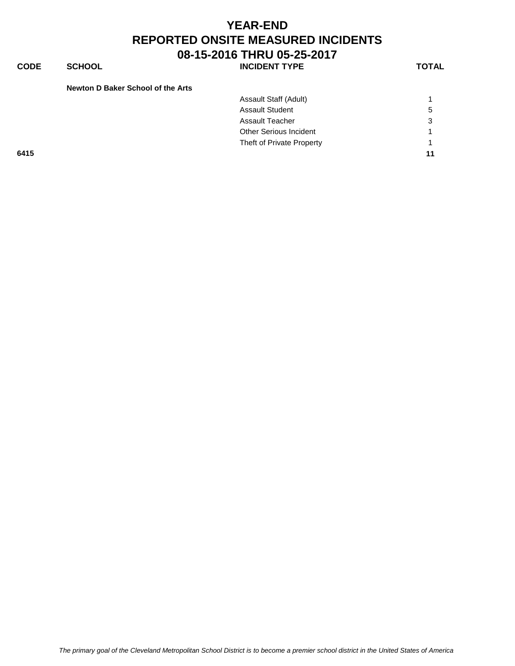**CODE SCHOOL SCHOOL** INCIDENT TYPE TOTAL

| Newton D Baker School of the Arts |                           |                      |
|-----------------------------------|---------------------------|----------------------|
|                                   | Assault Staff (Adult)     |                      |
|                                   | <b>Assault Student</b>    | 5                    |
|                                   | <b>Assault Teacher</b>    | 3                    |
|                                   | Other Serious Incident    | $\blacktriangleleft$ |
|                                   | Theft of Private Property |                      |
| 6415                              |                           | 11                   |
|                                   |                           |                      |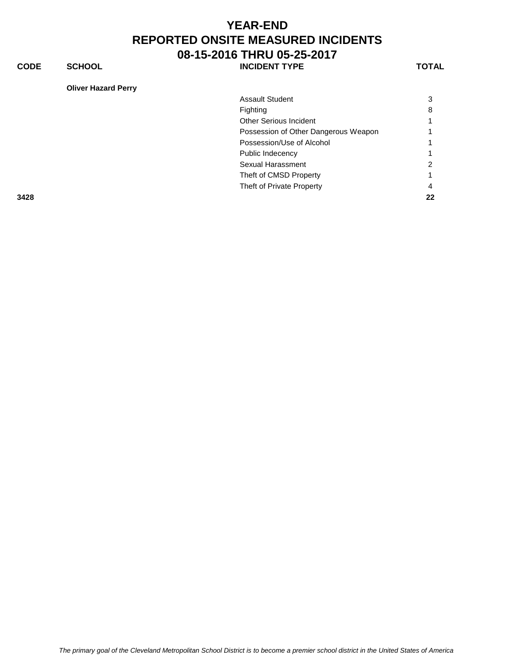**CODE SCHOOL SCHOOL** INCIDENT TYPE TOTAL

|      | <b>Assault Student</b>               | 3  |
|------|--------------------------------------|----|
|      | Fighting                             | 8  |
|      | <b>Other Serious Incident</b>        |    |
|      | Possession of Other Dangerous Weapon |    |
|      | Possession/Use of Alcohol            |    |
|      | Public Indecency                     |    |
|      | Sexual Harassment                    | ົ  |
|      | Theft of CMSD Property               |    |
|      | Theft of Private Property            | 4  |
| 3428 |                                      | 22 |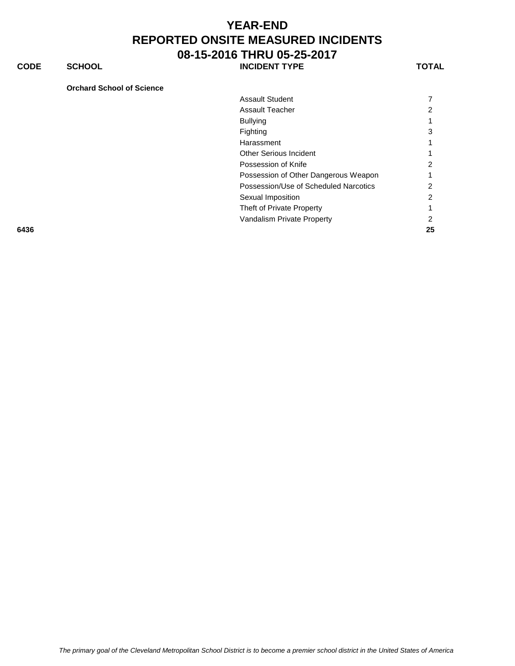**CODE SCHOOL SCHOOL INCIDENT TYPE TOTAL** 

#### **Orchard School of Science**

| <b>Assault Student</b>                |   |
|---------------------------------------|---|
| Assault Teacher                       |   |
| <b>Bullying</b>                       |   |
| Fighting                              | 3 |
| Harassment                            |   |
| Other Serious Incident                |   |
| Possession of Knife                   | 2 |
| Possession of Other Dangerous Weapon  |   |
| Possession/Use of Scheduled Narcotics | 2 |
| Sexual Imposition                     | 2 |
| Theft of Private Property             |   |
| Vandalism Private Property            |   |
|                                       |   |

**6436 25**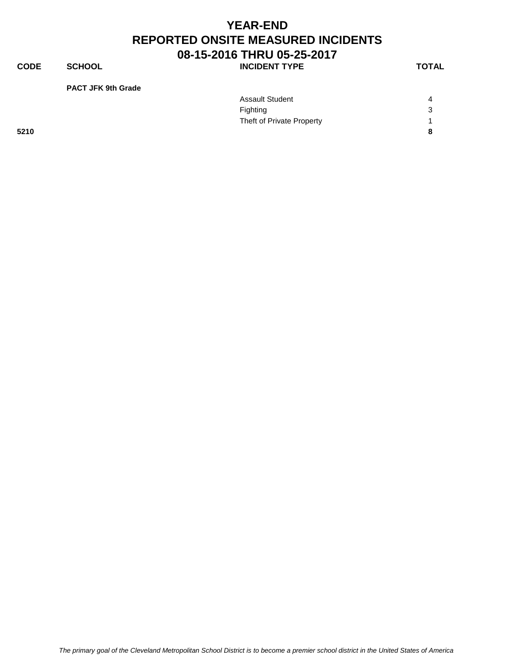**CODE SCHOOL SCHOOL INCIDENT TYPE TOTAL** 

**PACT JFK 9th Grade**

|      | <b>Assault Student</b>    | $\boldsymbol{\Lambda}$ |
|------|---------------------------|------------------------|
|      | Fighting                  | 3                      |
|      | Theft of Private Property |                        |
| 5210 |                           | 8                      |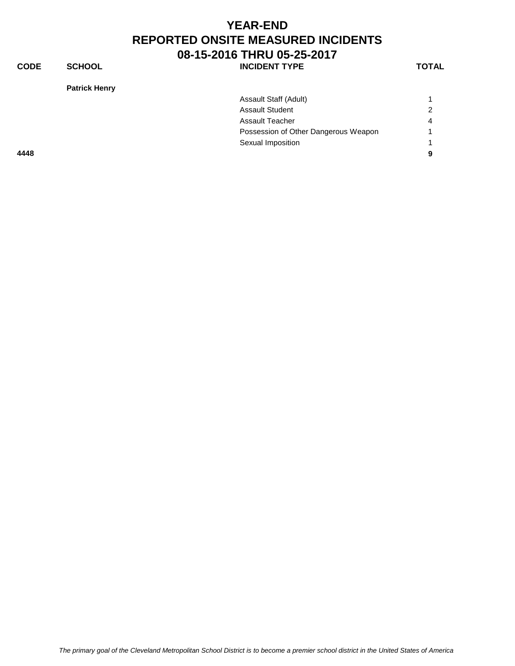**CODE SCHOOL SCHOOL INCIDENT TYPE TOTAL** 

**Patrick Henry**

| Assault Staff (Adult)                |                |
|--------------------------------------|----------------|
| <b>Assault Student</b>               | 2              |
| Assault Teacher                      | $\overline{4}$ |
| Possession of Other Dangerous Weapon | $\overline{1}$ |
| Sexual Imposition                    |                |
|                                      | 9              |
|                                      |                |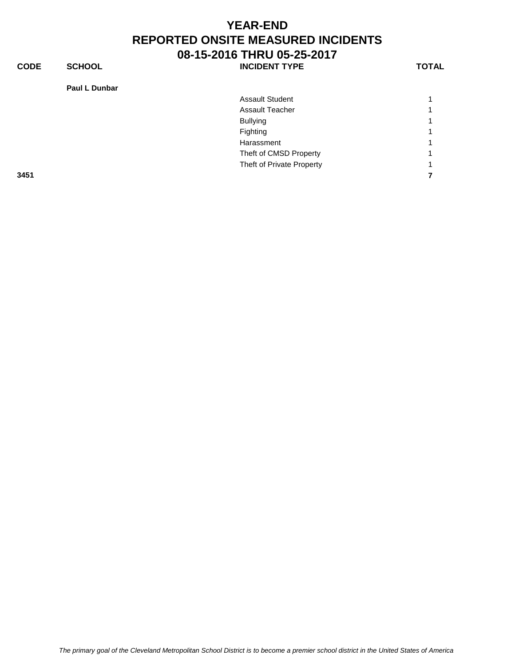**CODE SCHOOL SCHOOL INCIDENT TYPE TOTAL** 

**Paul L Dunbar**

|      | <b>Assault Student</b>    |   |
|------|---------------------------|---|
|      | <b>Assault Teacher</b>    | 4 |
|      | <b>Bullying</b>           |   |
|      | Fighting                  |   |
|      | Harassment                | 4 |
|      | Theft of CMSD Property    |   |
|      | Theft of Private Property | 4 |
| 3451 |                           |   |
|      |                           |   |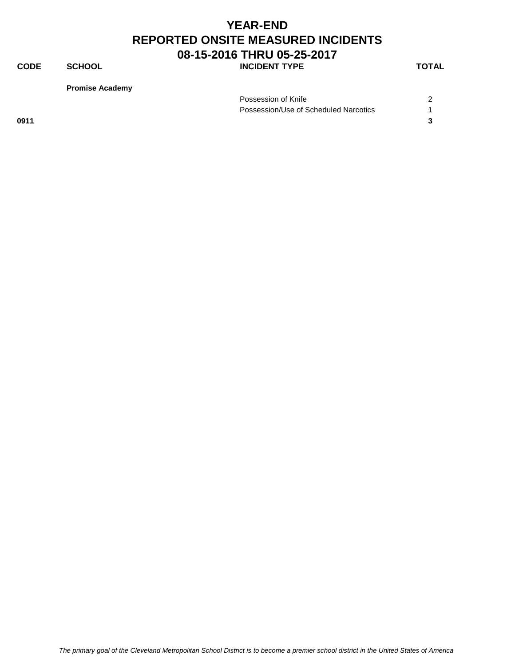**CODE SCHOOL SCHOOL INCIDENT TYPE TOTAL** 

**Promise Academy**

|      | Possession of Knife                   |  |
|------|---------------------------------------|--|
|      | Possession/Use of Scheduled Narcotics |  |
| 0911 |                                       |  |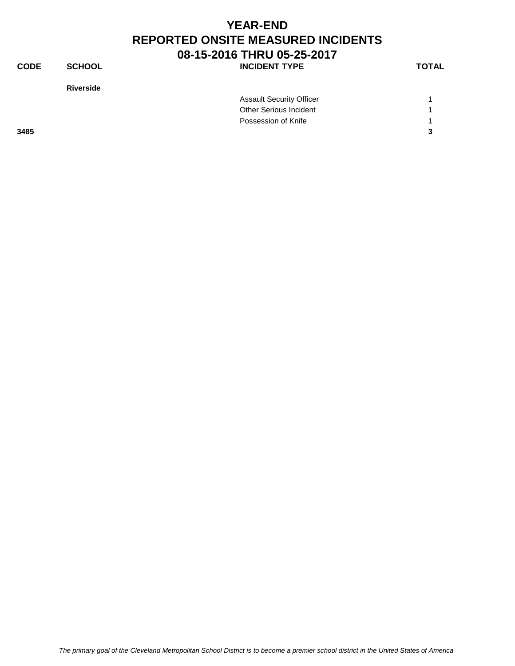| <b>CODE</b> | <b>SCHOOL</b>    | <b>INCIDENT TYPE</b>            | <b>TOTAL</b> |
|-------------|------------------|---------------------------------|--------------|
|             | <b>Riverside</b> |                                 |              |
|             |                  | <b>Assault Security Officer</b> |              |
|             |                  | Other Serious Incident          |              |
|             |                  | Possession of Knife             |              |

**3485 3**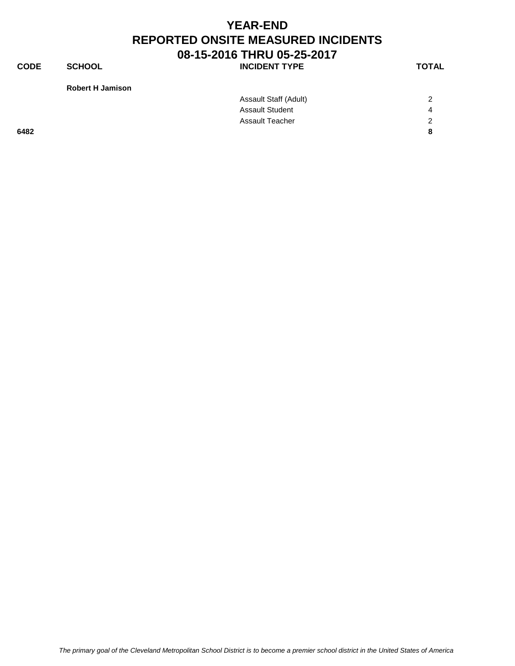**CODE SCHOOL SCHOOL INCIDENT TYPE TOTAL** 

**Robert H Jamison** 

|      | Assault Staff (Adult)  | 2              |
|------|------------------------|----------------|
|      | <b>Assault Student</b> | 4              |
|      | <b>Assault Teacher</b> | $\overline{2}$ |
| 6482 |                        | 8              |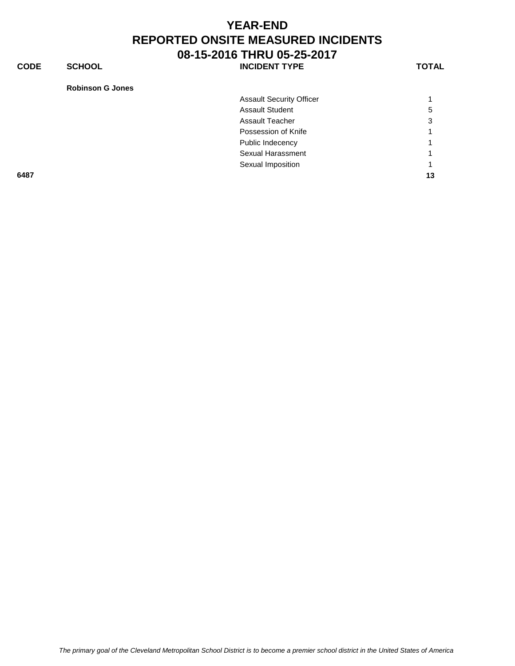**CODE SCHOOL SCHOOL** INCIDENT TYPE TOTAL

| <b>Robinson G Jones</b> |  |
|-------------------------|--|
|-------------------------|--|

|      | <b>Assault Security Officer</b> |    |
|------|---------------------------------|----|
|      | <b>Assault Student</b>          | 5  |
|      | <b>Assault Teacher</b>          | 3  |
|      | Possession of Knife             |    |
|      | Public Indecency                |    |
|      | Sexual Harassment               |    |
|      | Sexual Imposition               | 1  |
| 6487 |                                 | 13 |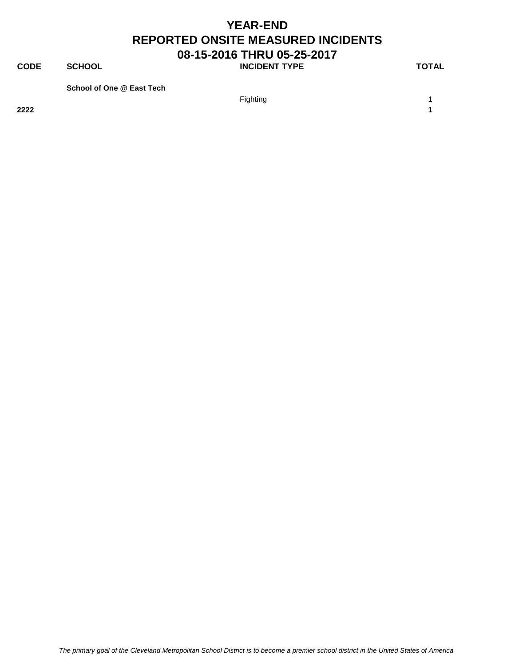**CODE SCHOOL SCHOOL INCIDENT TYPE TOTAL** 

**School of One @ East Tech**

Fighting the contract of the contract of the contract of the contract of the contract of the contract of the contract of the contract of the contract of the contract of the contract of the contract of the contract of the c **2222 1**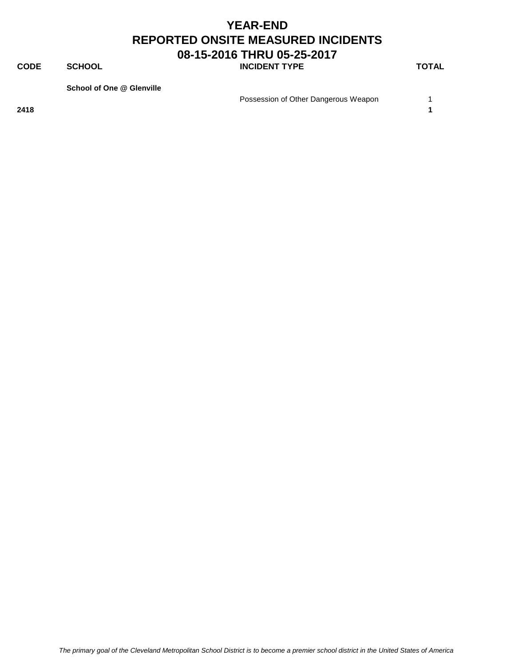**CODE SCHOOL SCHOOL INCIDENT TYPE TOTAL** 

**School of One @ Glenville**

Possession of Other Dangerous Weapon 1

**2418 1**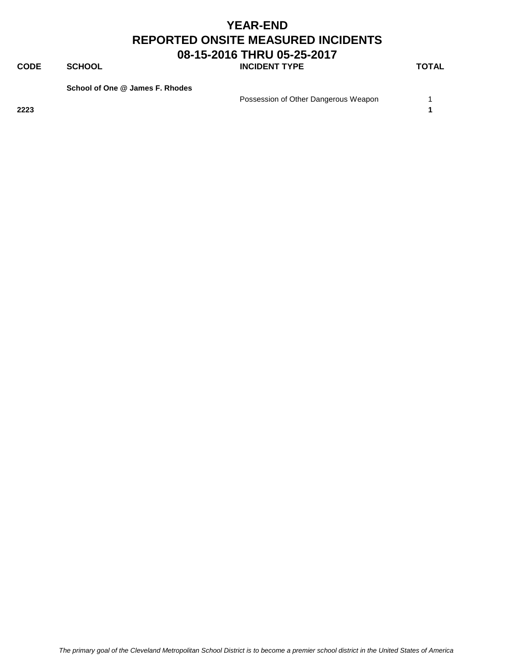**CODE SCHOOL SCHOOL INCIDENT TYPE TOTAL** 

**School of One @ James F. Rhodes**

Possession of Other Dangerous Weapon 1

**2223 1**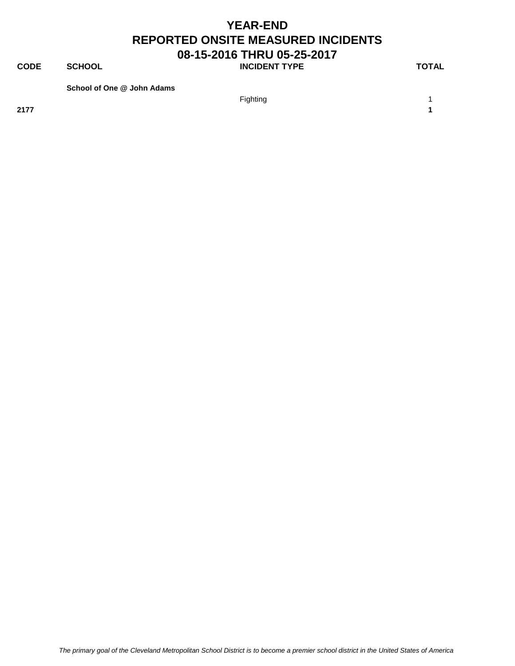**CODE SCHOOL SCHOOL INCIDENT TYPE TOTAL** 

**School of One @ John Adams**

**2177 1**

Fighting the contract of the contract of the contract of the contract of the contract of the contract of the contract of the contract of the contract of the contract of the contract of the contract of the contract of the c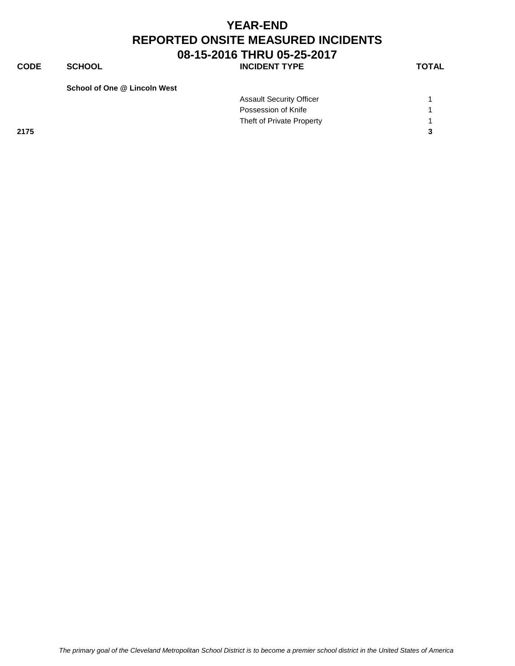**CODE SCHOOL SCHOOL INCIDENT TYPE TOTAL** 

**School of One @ Lincoln West**

|      | <b>Assault Security Officer</b> |  |
|------|---------------------------------|--|
|      | Possession of Knife             |  |
|      | Theft of Private Property       |  |
| 2175 |                                 |  |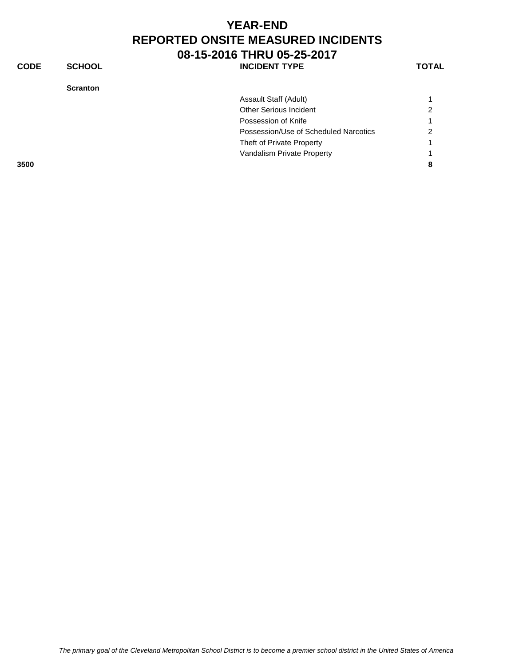#### **YEAR-END REPORTED ONSITE MEASURED INCIDENTS 08-15-2016 THRU 05-25-2017** CODE SCHOOL **DEEXAGE SCHOOL** SCHOOL **INCIDENT TYPE**

**Scranton**

| w<br>۰. |
|---------|
|---------|

| 3500 |                                       | 8             |
|------|---------------------------------------|---------------|
|      | Vandalism Private Property            |               |
|      | Theft of Private Property             | 1             |
|      | Possession/Use of Scheduled Narcotics | $\mathcal{P}$ |
|      | Possession of Knife                   | 1             |
|      | Other Serious Incident                | $\mathcal{P}$ |
|      | Assault Staff (Adult)                 |               |
|      |                                       |               |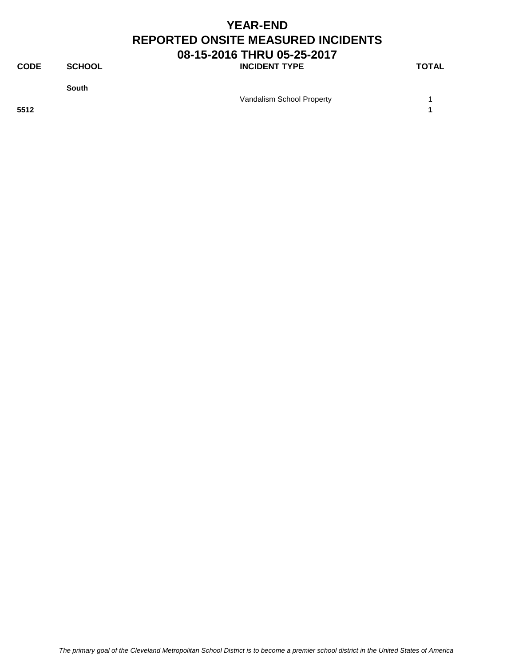**CODE SCHOOL SCHOOL INCIDENT TYPE TOTAL** 

**South**

Vandalism School Property 1

**5512 1**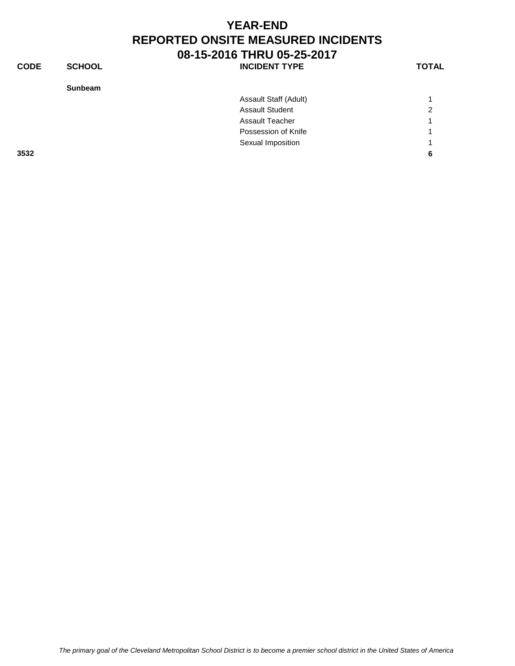| <b>CODE</b> | <b>SCHOOL</b>  | <b>INCIDENT TYPE</b>   | <b>TOTAL</b>   |
|-------------|----------------|------------------------|----------------|
|             | <b>Sunbeam</b> |                        |                |
|             |                | Assault Staff (Adult)  |                |
|             |                | <b>Assault Student</b> | $\overline{2}$ |
|             |                | <b>Assault Teacher</b> |                |
|             |                | Possession of Knife    |                |
|             |                | Sexual Imposition      |                |
| 3532        |                |                        | 6              |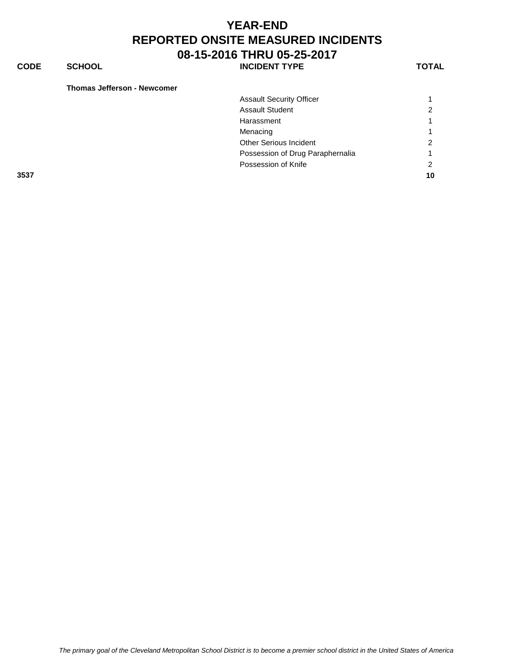#### **CODE SCHOOL SCHOOL** INCIDENT TYPE TOTAL

|      | <b>Assault Security Officer</b>  |   |
|------|----------------------------------|---|
|      | <b>Assault Student</b>           |   |
|      | Harassment                       |   |
|      | Menacing                         |   |
|      | <b>Other Serious Incident</b>    | n |
|      | Possession of Drug Paraphernalia |   |
|      | Possession of Knife              |   |
| 3537 |                                  |   |
|      |                                  |   |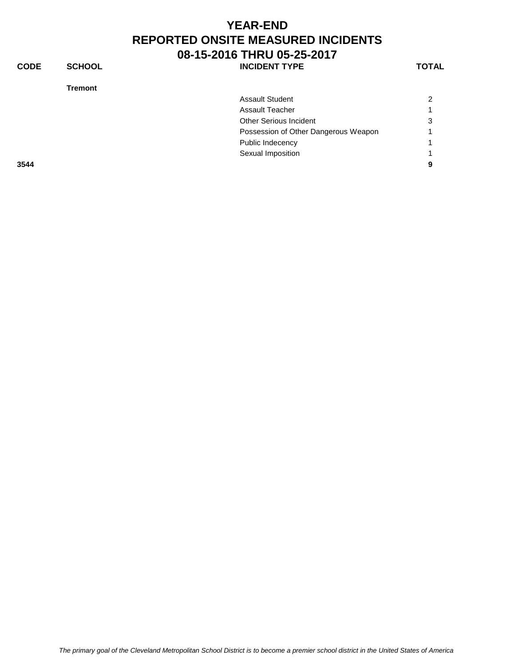**CODE SCHOOL SCHOOL INCIDENT TYPE TOTAL** 

**Tremont**

| <b>Tremont</b> |                                      |                |
|----------------|--------------------------------------|----------------|
|                | <b>Assault Student</b>               | $\overline{2}$ |
|                | <b>Assault Teacher</b>               |                |
|                | <b>Other Serious Incident</b>        | 3              |
|                | Possession of Other Dangerous Weapon |                |
|                | Public Indecency                     |                |
|                | Sexual Imposition                    |                |
| 3544           |                                      | 9              |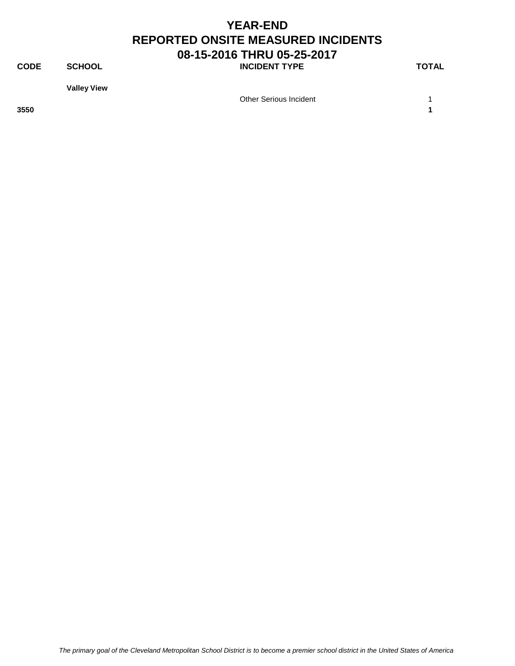**CODE SCHOOL SCHOOL INCIDENT TYPE TOTAL** 

**Valley View**

Other Serious Incident 1

**3550 1**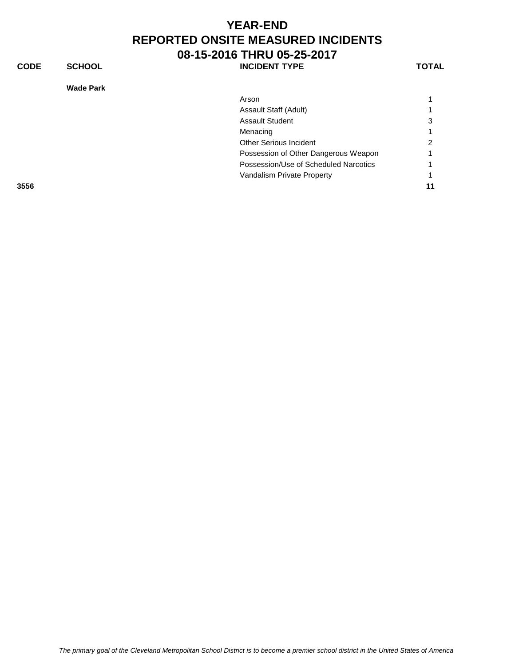**CODE SCHOOL SCHOOL INCIDENT TYPE TOTAL** 

**Wade Park**

|      | Wade Park                             |    |
|------|---------------------------------------|----|
|      | Arson                                 |    |
|      | Assault Staff (Adult)                 |    |
|      | <b>Assault Student</b>                | 3  |
|      | Menacing                              |    |
|      | <b>Other Serious Incident</b>         | 2  |
|      | Possession of Other Dangerous Weapon  |    |
|      | Possession/Use of Scheduled Narcotics |    |
|      | Vandalism Private Property            |    |
| 3556 |                                       | 11 |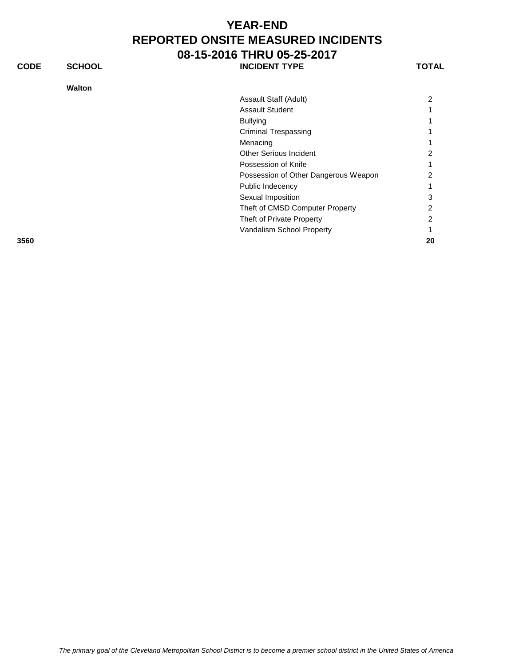| <b>CODE</b> | <b>SCHOOL</b> | <b>INCIDENT TYPE</b>                 | TOTAL          |
|-------------|---------------|--------------------------------------|----------------|
|             | <b>Walton</b> |                                      |                |
|             |               | Assault Staff (Adult)                | $\overline{2}$ |
|             |               | <b>Assault Student</b>               |                |
|             |               | <b>Bullying</b>                      |                |
|             |               | <b>Criminal Trespassing</b>          |                |
|             |               | Menacing                             |                |
|             |               | <b>Other Serious Incident</b>        | 2              |
|             |               | Possession of Knife                  |                |
|             |               | Possession of Other Dangerous Weapon |                |
|             |               | Public Indecency                     |                |
|             |               | Sexual Imposition                    | 3              |
|             |               | Theft of CMSD Computer Property      | 2              |
|             |               | Theft of Private Property            | 2              |
|             |               | Vandalism School Property            |                |
| 3560        |               |                                      | 20             |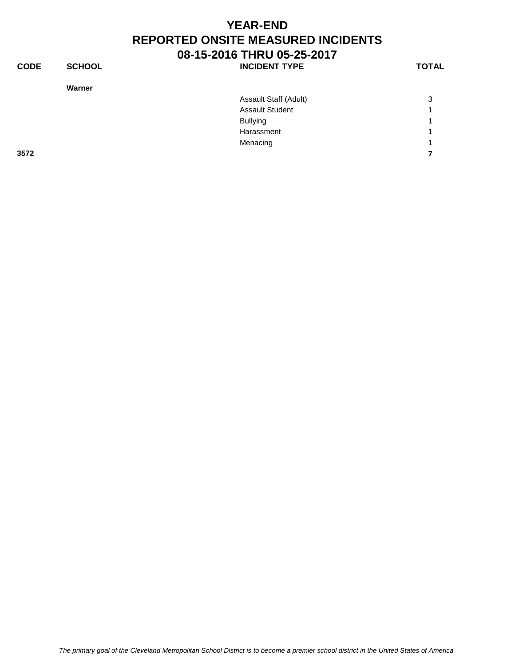| <b>CODE</b> | <b>SCHOOL</b> | <b>INCIDENT TYPE</b>   | <b>TOTAL</b> |
|-------------|---------------|------------------------|--------------|
|             | Warner        |                        |              |
|             |               | Assault Staff (Adult)  | 3            |
|             |               | <b>Assault Student</b> |              |
|             |               | <b>Bullying</b>        | и            |
|             |               | Harassment             | и            |
|             |               | Menacing               | л            |

**3572 7**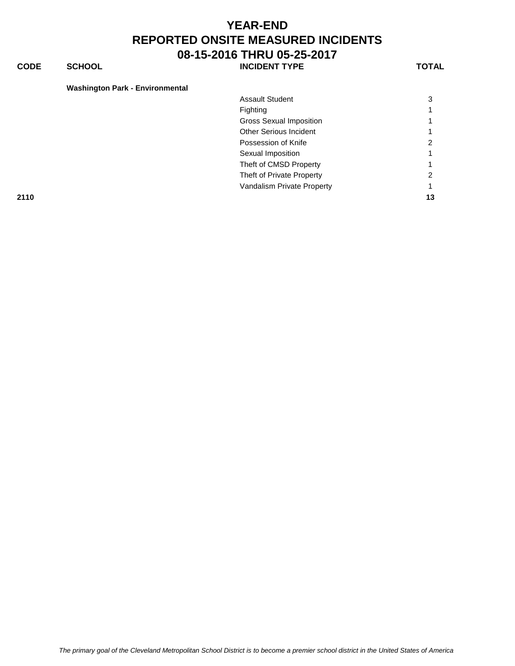**CODE SCHOOL SCHOOL INCIDENT TYPE TOTAL** 

| <b>Washington Park - Environmental</b> |                                |              |
|----------------------------------------|--------------------------------|--------------|
|                                        | <b>Assault Student</b>         | 3            |
|                                        | Fighting                       | $\mathbf{1}$ |
|                                        | <b>Gross Sexual Imposition</b> | 1.           |
|                                        | <b>Other Serious Incident</b>  | 1.           |
|                                        | Possession of Knife            | 2            |
|                                        | Sexual Imposition              | 1.           |
|                                        | Theft of CMSD Property         | 1            |
|                                        | Theft of Private Property      | 2            |
|                                        | Vandalism Private Property     | 1.           |
| 2110                                   |                                | 13           |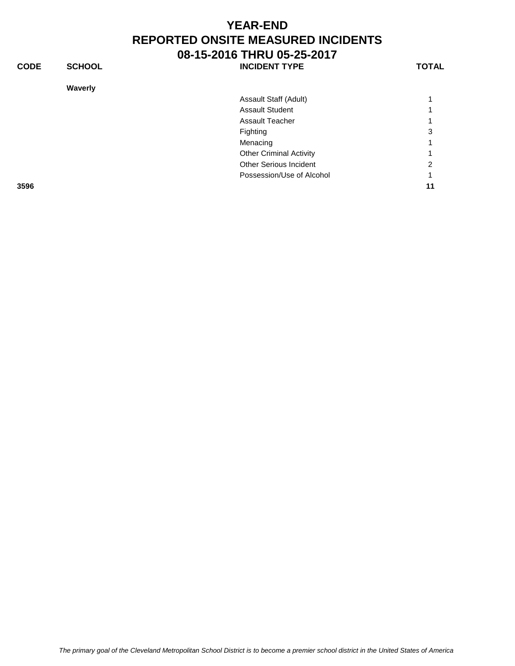**CODE SCHOOL SCHOOL INCIDENT TYPE TOTAL** 

**Waverly**

| Waverly |                                |    |
|---------|--------------------------------|----|
|         | Assault Staff (Adult)          |    |
|         | <b>Assault Student</b>         |    |
|         | <b>Assault Teacher</b>         |    |
|         | Fighting                       | 3  |
|         | Menacing                       |    |
|         | <b>Other Criminal Activity</b> |    |
|         | Other Serious Incident         | 2  |
|         | Possession/Use of Alcohol      |    |
| 3596    |                                | 11 |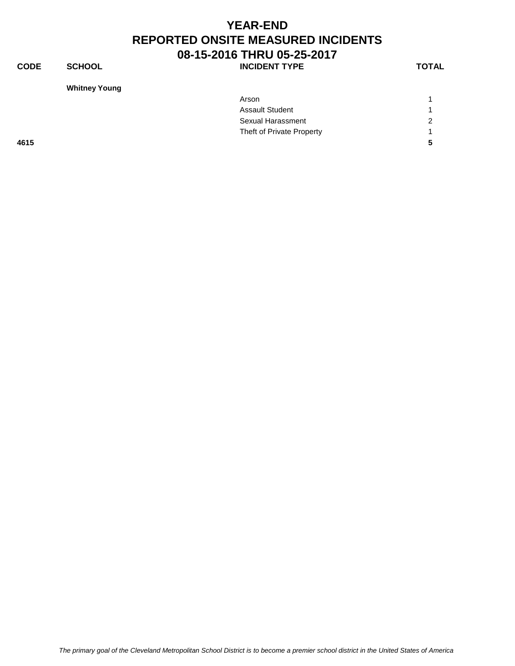**CODE SCHOOL SCHOOL INCIDENT TYPE TOTAL** 

**Whitney Young**

| Arson                     | $\blacktriangleleft$ |
|---------------------------|----------------------|
| <b>Assault Student</b>    | 4                    |
| Sexual Harassment         | 2                    |
| Theft of Private Property | $\overline{A}$       |
|                           | -5                   |
|                           |                      |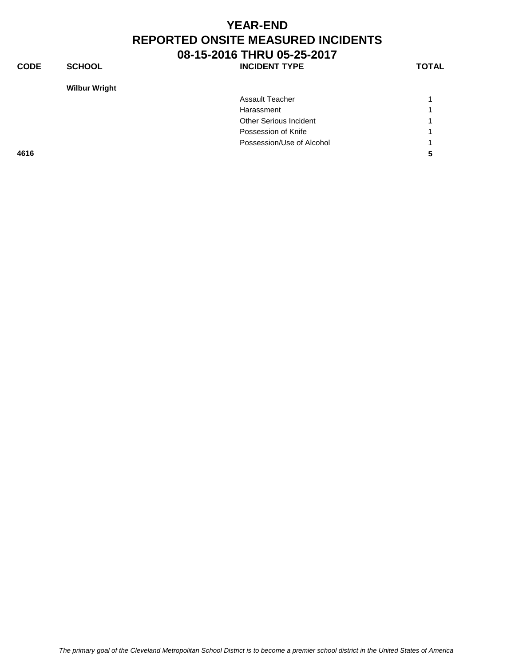#### **YEAR-END REPORTED ONSITE MEASURED INCIDENTS 08-15-2016 THRU 05-25-2017** CODE SCHOOL **DEREWALD SCHOOL** SCHOOL **INCIDENT TYPE**

**Wilbur Wright**

| n<br>w<br>۰. |
|--------------|
|--------------|

|      | <b>Assault Teacher</b>        |   |
|------|-------------------------------|---|
|      | Harassment                    | 1 |
|      | <b>Other Serious Incident</b> | 1 |
|      | Possession of Knife           | 1 |
|      | Possession/Use of Alcohol     | 4 |
| 4616 |                               | 5 |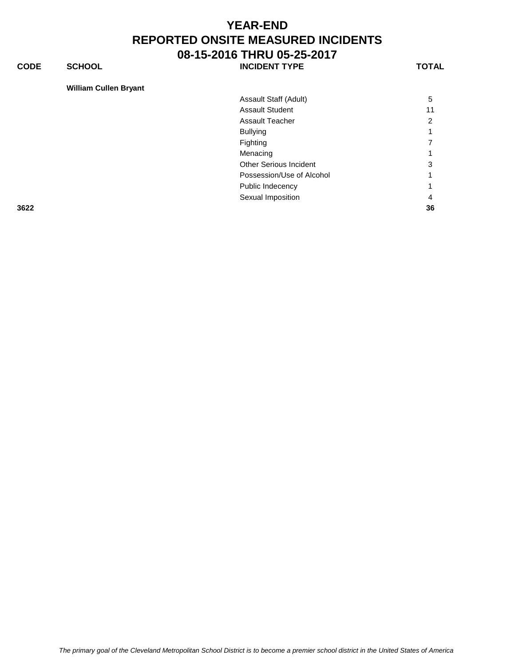**CODE SCHOOL SCHOOL INCIDENT TYPE TOTAL** 

**William Cullen Bryant**

| Assault Staff (Adult)     | 5  |
|---------------------------|----|
| Assault Student           | 11 |
| Assault Teacher           | 2  |
| <b>Bullying</b>           |    |
| Fighting                  |    |
| Menacing                  |    |
| Other Serious Incident    | 3  |
| Possession/Use of Alcohol | 1  |
| Public Indecency          |    |
| Sexual Imposition         |    |
|                           |    |

**3622 36**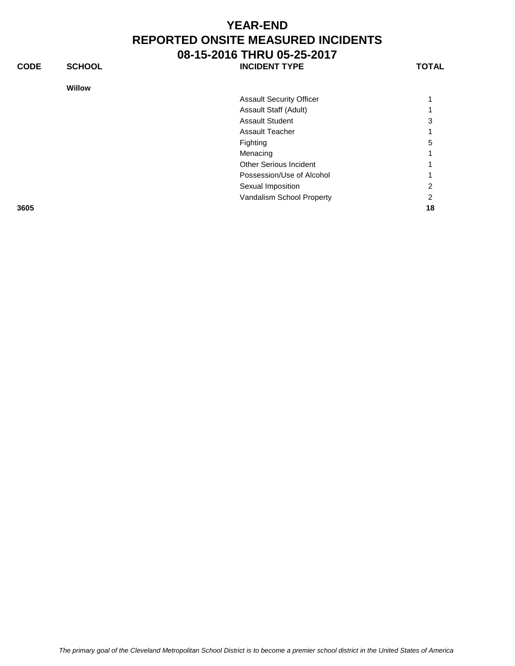**CODE SCHOOL SCHOOL INCIDENT TYPE TOTAL** 

#### **Willow**

| <b>Assault Security Officer</b> |   |
|---------------------------------|---|
| Assault Staff (Adult)           |   |
| Assault Student                 | 3 |
| Assault Teacher                 | 1 |
| Fighting                        | 5 |
| Menacing                        | 1 |
| <b>Other Serious Incident</b>   | 1 |
| Possession/Use of Alcohol       | 1 |
| Sexual Imposition               | 2 |
| Vandalism School Property       | 2 |

**3605 18**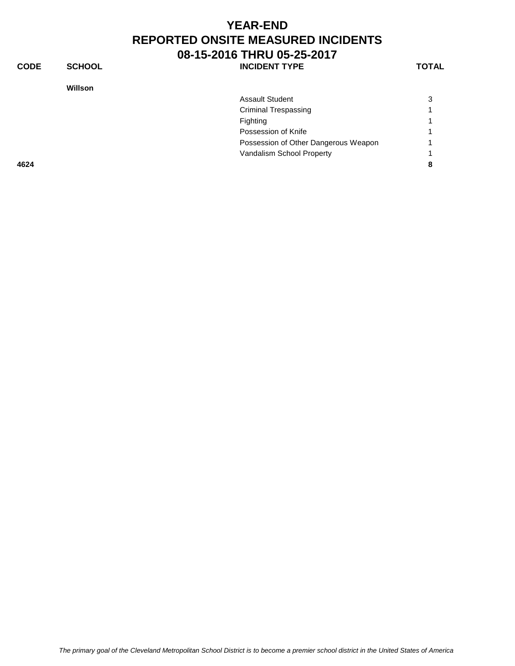**CODE SCHOOL SCHOOL INCIDENT TYPE TOTAL** 

| <b>Willson</b> |                                      |                |
|----------------|--------------------------------------|----------------|
|                | <b>Assault Student</b>               | 3              |
|                | <b>Criminal Trespassing</b>          |                |
|                | Fighting                             | 1              |
|                | Possession of Knife                  | 1              |
|                | Possession of Other Dangerous Weapon | $\overline{1}$ |
|                | Vandalism School Property            |                |
| 4624           |                                      | 8              |